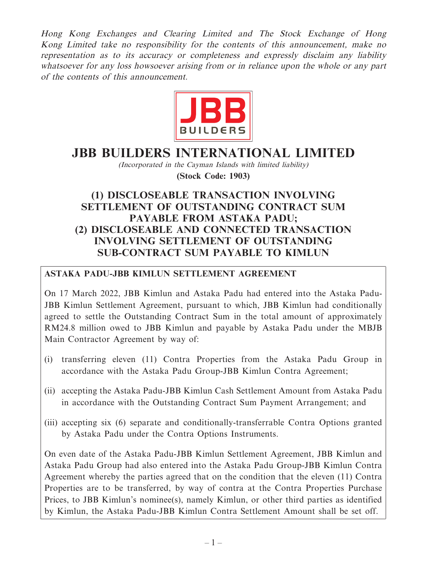Hong Kong Exchanges and Clearing Limited and The Stock Exchange of Hong Kong Limited take no responsibility for the contents of this announcement, make no representation as to its accuracy or completeness and expressly disclaim any liability whatsoever for any loss howsoever arising from or in reliance upon the whole or any part of the contents of this announcement.



# **JBB BUILDERS INTERNATIONAL LIMITED**

(Incorporated in the Cayman Islands with limited liability) **(Stock Code: 1903)**

# **(1) DISCLOSEABLE TRANSACTION INVOLVING SETTLEMENT OF OUTSTANDING CONTRACT SUM PAYABLE FROM ASTAKA PADU; (2) DISCLOSEABLE AND CONNECTED TRANSACTION INVOLVING SETTLEMENT OF OUTSTANDING SUB-CONTRACT SUM PAYABLE TO KIMLUN**

# **ASTAKA PADU-JBB KIMLUN SETTLEMENT AGREEMENT**

On 17 March 2022, JBB Kimlun and Astaka Padu had entered into the Astaka Padu-JBB Kimlun Settlement Agreement, pursuant to which, JBB Kimlun had conditionally agreed to settle the Outstanding Contract Sum in the total amount of approximately RM24.8 million owed to JBB Kimlun and payable by Astaka Padu under the MBJB Main Contractor Agreement by way of:

- (i) transferring eleven (11) Contra Properties from the Astaka Padu Group in accordance with the Astaka Padu Group-JBB Kimlun Contra Agreement;
- (ii) accepting the Astaka Padu-JBB Kimlun Cash Settlement Amount from Astaka Padu in accordance with the Outstanding Contract Sum Payment Arrangement; and
- (iii) accepting six (6) separate and conditionally-transferrable Contra Options granted by Astaka Padu under the Contra Options Instruments.

On even date of the Astaka Padu-JBB Kimlun Settlement Agreement, JBB Kimlun and Astaka Padu Group had also entered into the Astaka Padu Group-JBB Kimlun Contra Agreement whereby the parties agreed that on the condition that the eleven (11) Contra Properties are to be transferred, by way of contra at the Contra Properties Purchase Prices, to JBB Kimlun's nominee(s), namely Kimlun, or other third parties as identified by Kimlun, the Astaka Padu-JBB Kimlun Contra Settlement Amount shall be set off.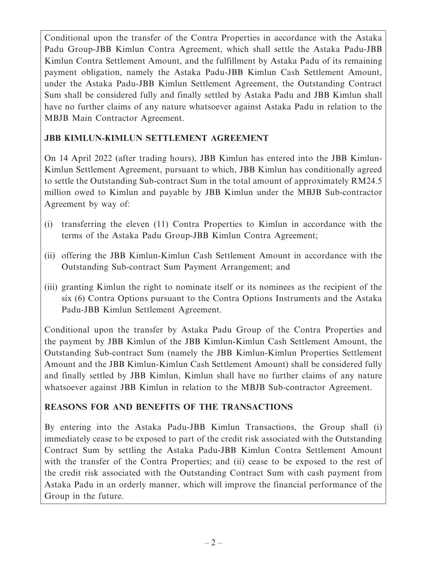Conditional upon the transfer of the Contra Properties in accordance with the Astaka Padu Group-JBB Kimlun Contra Agreement, which shall settle the Astaka Padu-JBB Kimlun Contra Settlement Amount, and the fulfillment by Astaka Padu of its remaining payment obligation, namely the Astaka Padu-JBB Kimlun Cash Settlement Amount, under the Astaka Padu-JBB Kimlun Settlement Agreement, the Outstanding Contract Sum shall be considered fully and finally settled by Astaka Padu and JBB Kimlun shall have no further claims of any nature whatsoever against Astaka Padu in relation to the MBJB Main Contractor Agreement.

# **JBB KIMLUN-KIMLUN SETTLEMENT AGREEMENT**

On 14 April 2022 (after trading hours), JBB Kimlun has entered into the JBB Kimlun-Kimlun Settlement Agreement, pursuant to which, JBB Kimlun has conditionally agreed to settle the Outstanding Sub-contract Sum in the total amount of approximately RM24.5 million owed to Kimlun and payable by JBB Kimlun under the MBJB Sub-contractor Agreement by way of:

- (i) transferring the eleven (11) Contra Properties to Kimlun in accordance with the terms of the Astaka Padu Group-JBB Kimlun Contra Agreement;
- (ii) offering the JBB Kimlun-Kimlun Cash Settlement Amount in accordance with the Outstanding Sub-contract Sum Payment Arrangement; and
- (iii) granting Kimlun the right to nominate itself or its nominees as the recipient of the six (6) Contra Options pursuant to the Contra Options Instruments and the Astaka Padu-JBB Kimlun Settlement Agreement.

Conditional upon the transfer by Astaka Padu Group of the Contra Properties and the payment by JBB Kimlun of the JBB Kimlun-Kimlun Cash Settlement Amount, the Outstanding Sub-contract Sum (namely the JBB Kimlun-Kimlun Properties Settlement Amount and the JBB Kimlun-Kimlun Cash Settlement Amount) shall be considered fully and finally settled by JBB Kimlun, Kimlun shall have no further claims of any nature whatsoever against JBB Kimlun in relation to the MBJB Sub-contractor Agreement.

# **REASONS FOR AND BENEFITS OF THE TRANSACTIONS**

By entering into the Astaka Padu-JBB Kimlun Transactions, the Group shall (i) immediately cease to be exposed to part of the credit risk associated with the Outstanding Contract Sum by settling the Astaka Padu-JBB Kimlun Contra Settlement Amount with the transfer of the Contra Properties; and (ii) cease to be exposed to the rest of the credit risk associated with the Outstanding Contract Sum with cash payment from Astaka Padu in an orderly manner, which will improve the financial performance of the Group in the future.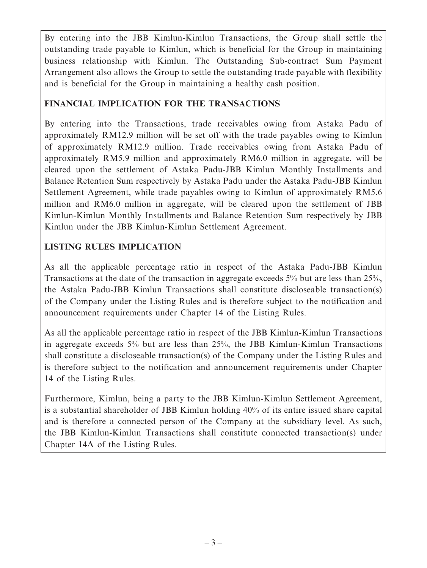By entering into the JBB Kimlun-Kimlun Transactions, the Group shall settle the outstanding trade payable to Kimlun, which is beneficial for the Group in maintaining business relationship with Kimlun. The Outstanding Sub-contract Sum Payment Arrangement also allows the Group to settle the outstanding trade payable with flexibility and is beneficial for the Group in maintaining a healthy cash position.

# **FINANCIAL IMPLICATION FOR THE TRANSACTIONS**

By entering into the Transactions, trade receivables owing from Astaka Padu of approximately RM12.9 million will be set off with the trade payables owing to Kimlun of approximately RM12.9 million. Trade receivables owing from Astaka Padu of approximately RM5.9 million and approximately RM6.0 million in aggregate, will be cleared upon the settlement of Astaka Padu-JBB Kimlun Monthly Installments and Balance Retention Sum respectively by Astaka Padu under the Astaka Padu-JBB Kimlun Settlement Agreement, while trade payables owing to Kimlun of approximately RM5.6 million and RM6.0 million in aggregate, will be cleared upon the settlement of JBB Kimlun-Kimlun Monthly Installments and Balance Retention Sum respectively by JBB Kimlun under the JBB Kimlun-Kimlun Settlement Agreement.

# **LISTING RULES IMPLICATION**

As all the applicable percentage ratio in respect of the Astaka Padu-JBB Kimlun Transactions at the date of the transaction in aggregate exceeds 5% but are less than 25%, the Astaka Padu-JBB Kimlun Transactions shall constitute discloseable transaction(s) of the Company under the Listing Rules and is therefore subject to the notification and announcement requirements under Chapter 14 of the Listing Rules.

As all the applicable percentage ratio in respect of the JBB Kimlun-Kimlun Transactions in aggregate exceeds 5% but are less than 25%, the JBB Kimlun-Kimlun Transactions shall constitute a discloseable transaction(s) of the Company under the Listing Rules and is therefore subject to the notification and announcement requirements under Chapter 14 of the Listing Rules.

Furthermore, Kimlun, being a party to the JBB Kimlun-Kimlun Settlement Agreement, is a substantial shareholder of JBB Kimlun holding 40% of its entire issued share capital and is therefore a connected person of the Company at the subsidiary level. As such, the JBB Kimlun-Kimlun Transactions shall constitute connected transaction(s) under Chapter 14A of the Listing Rules.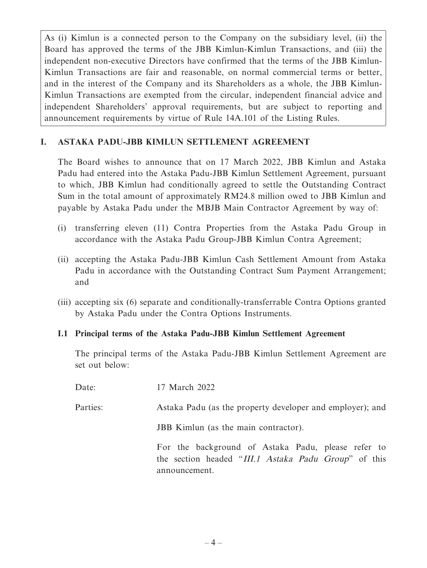As (i) Kimlun is a connected person to the Company on the subsidiary level, (ii) the Board has approved the terms of the JBB Kimlun-Kimlun Transactions, and (iii) the independent non-executive Directors have confirmed that the terms of the JBB Kimlun-Kimlun Transactions are fair and reasonable, on normal commercial terms or better, and in the interest of the Company and its Shareholders as a whole, the JBB Kimlun-Kimlun Transactions are exempted from the circular, independent financial advice and independent Shareholders' approval requirements, but are subject to reporting and announcement requirements by virtue of Rule 14A.101 of the Listing Rules.

### **I. ASTAKA PADU-JBB KIMLUN SETTLEMENT AGREEMENT**

The Board wishes to announce that on 17 March 2022, JBB Kimlun and Astaka Padu had entered into the Astaka Padu-JBB Kimlun Settlement Agreement, pursuant to which, JBB Kimlun had conditionally agreed to settle the Outstanding Contract Sum in the total amount of approximately RM24.8 million owed to JBB Kimlun and payable by Astaka Padu under the MBJB Main Contractor Agreement by way of:

- (i) transferring eleven (11) Contra Properties from the Astaka Padu Group in accordance with the Astaka Padu Group-JBB Kimlun Contra Agreement;
- (ii) accepting the Astaka Padu-JBB Kimlun Cash Settlement Amount from Astaka Padu in accordance with the Outstanding Contract Sum Payment Arrangement; and
- (iii) accepting six (6) separate and conditionally-transferrable Contra Options granted by Astaka Padu under the Contra Options Instruments.

#### **I.1 Principal terms of the Astaka Padu-JBB Kimlun Settlement Agreement**

The principal terms of the Astaka Padu-JBB Kimlun Settlement Agreement are set out below:

Date: 17 March 2022 Parties: Astaka Padu (as the property developer and employer); and JBB Kimlun (as the main contractor). For the background of Astaka Padu, please refer to the section headed "III.1 Astaka Padu Group" of this announcement.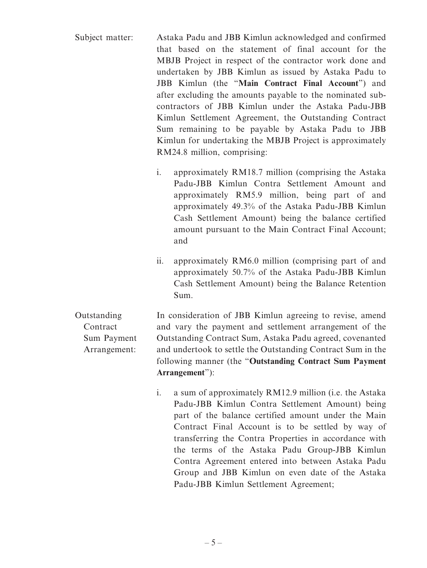| Subject matter: | Astaka Padu and JBB Kimlun acknowledged and confirmed     |
|-----------------|-----------------------------------------------------------|
|                 | that based on the statement of final account for the      |
|                 | MBJB Project in respect of the contractor work done and   |
|                 | undertaken by JBB Kimlun as issued by Astaka Padu to      |
|                 | JBB Kimlun (the "Main Contract Final Account") and        |
|                 | after excluding the amounts payable to the nominated sub- |
|                 | contractors of JBB Kimlun under the Astaka Padu-JBB       |
|                 | Kimlun Settlement Agreement, the Outstanding Contract     |
|                 | Sum remaining to be payable by Astaka Padu to JBB         |
|                 | Kimlun for undertaking the MBJB Project is approximately  |
|                 | RM24.8 million, comprising:                               |

- i. approximately RM18.7 million (comprising the Astaka Padu-JBB Kimlun Contra Settlement Amount and approximately RM5.9 million, being part of and approximately 49.3% of the Astaka Padu-JBB Kimlun Cash Settlement Amount) being the balance certified amount pursuant to the Main Contract Final Account; and
- ii. approximately RM6.0 million (comprising part of and approximately 50.7% of the Astaka Padu-JBB Kimlun Cash Settlement Amount) being the Balance Retention Sum.

Outstanding **Contract** Sum Payment Arrangement: In consideration of JBB Kimlun agreeing to revise, amend and vary the payment and settlement arrangement of the Outstanding Contract Sum, Astaka Padu agreed, covenanted and undertook to settle the Outstanding Contract Sum in the following manner (the "**Outstanding Contract Sum Payment Arrangement**"):

> i. a sum of approximately RM12.9 million (i.e. the Astaka Padu-JBB Kimlun Contra Settlement Amount) being part of the balance certified amount under the Main Contract Final Account is to be settled by way of transferring the Contra Properties in accordance with the terms of the Astaka Padu Group-JBB Kimlun Contra Agreement entered into between Astaka Padu Group and JBB Kimlun on even date of the Astaka Padu-JBB Kimlun Settlement Agreement;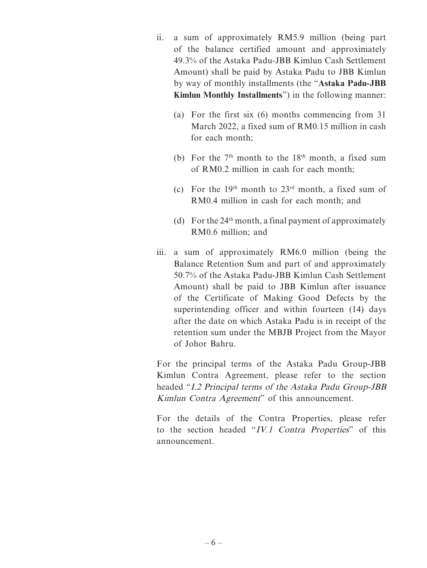- ii. a sum of approximately RM5.9 million (being part of the balance certified amount and approximately 49.3% of the Astaka Padu-JBB Kimlun Cash Settlement Amount) shall be paid by Astaka Padu to JBB Kimlun by way of monthly installments (the "**Astaka Padu-JBB Kimlun Monthly Installments**") in the following manner:
	- (a) For the first six (6) months commencing from 31 March 2022, a fixed sum of RM0.15 million in cash for each month;
	- (b) For the  $7<sup>th</sup>$  month to the  $18<sup>th</sup>$  month, a fixed sum of RM0.2 million in cash for each month;
	- (c) For the 19<sup>th</sup> month to  $23<sup>rd</sup>$  month, a fixed sum of RM0.4 million in cash for each month; and
	- (d) For the  $24<sup>th</sup>$  month, a final payment of approximately RM0.6 million; and
- iii. a sum of approximately RM6.0 million (being the Balance Retention Sum and part of and approximately 50.7% of the Astaka Padu-JBB Kimlun Cash Settlement Amount) shall be paid to JBB Kimlun after issuance of the Certificate of Making Good Defects by the superintending officer and within fourteen (14) days after the date on which Astaka Padu is in receipt of the retention sum under the MBJB Project from the Mayor of Johor Bahru.

For the principal terms of the Astaka Padu Group-JBB Kimlun Contra Agreement, please refer to the section headed "I.2 Principal terms of the Astaka Padu Group-JBB Kimlun Contra Agreement" of this announcement.

For the details of the Contra Properties, please refer to the section headed "IV.1 Contra Properties" of this announcement.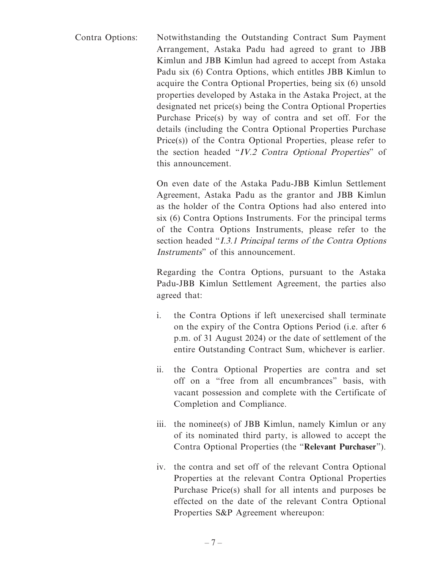Contra Options: Notwithstanding the Outstanding Contract Sum Payment Arrangement, Astaka Padu had agreed to grant to JBB Kimlun and JBB Kimlun had agreed to accept from Astaka Padu six (6) Contra Options, which entitles JBB Kimlun to acquire the Contra Optional Properties, being six (6) unsold properties developed by Astaka in the Astaka Project, at the designated net price(s) being the Contra Optional Properties Purchase Price(s) by way of contra and set off. For the details (including the Contra Optional Properties Purchase Price(s)) of the Contra Optional Properties, please refer to the section headed "IV.2 Contra Optional Properties" of this announcement.

> On even date of the Astaka Padu-JBB Kimlun Settlement Agreement, Astaka Padu as the grantor and JBB Kimlun as the holder of the Contra Options had also entered into six (6) Contra Options Instruments. For the principal terms of the Contra Options Instruments, please refer to the section headed "I.3.1 Principal terms of the Contra Options" Instruments" of this announcement.

> Regarding the Contra Options, pursuant to the Astaka Padu-JBB Kimlun Settlement Agreement, the parties also agreed that:

- i. the Contra Options if left unexercised shall terminate on the expiry of the Contra Options Period (i.e. after 6 p.m. of 31 August 2024) or the date of settlement of the entire Outstanding Contract Sum, whichever is earlier.
- ii. the Contra Optional Properties are contra and set off on a "free from all encumbrances" basis, with vacant possession and complete with the Certificate of Completion and Compliance.
- iii. the nominee(s) of JBB Kimlun, namely Kimlun or any of its nominated third party, is allowed to accept the Contra Optional Properties (the "**Relevant Purchaser**").
- iv. the contra and set off of the relevant Contra Optional Properties at the relevant Contra Optional Properties Purchase Price(s) shall for all intents and purposes be effected on the date of the relevant Contra Optional Properties S&P Agreement whereupon: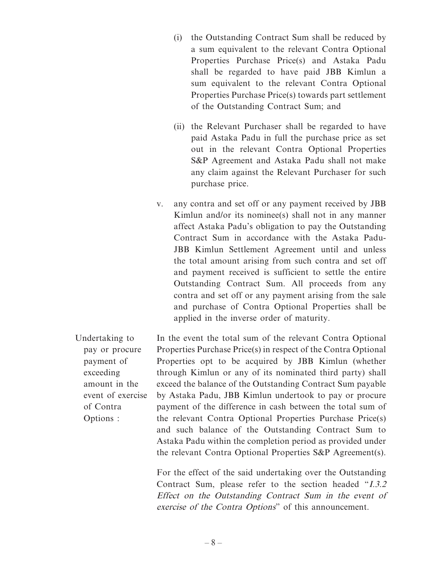- (i) the Outstanding Contract Sum shall be reduced by a sum equivalent to the relevant Contra Optional Properties Purchase Price(s) and Astaka Padu shall be regarded to have paid JBB Kimlun a sum equivalent to the relevant Contra Optional Properties Purchase Price(s) towards part settlement of the Outstanding Contract Sum; and
- (ii) the Relevant Purchaser shall be regarded to have paid Astaka Padu in full the purchase price as set out in the relevant Contra Optional Properties S&P Agreement and Astaka Padu shall not make any claim against the Relevant Purchaser for such purchase price.
- v. any contra and set off or any payment received by JBB Kimlun and/or its nominee(s) shall not in any manner affect Astaka Padu's obligation to pay the Outstanding Contract Sum in accordance with the Astaka Padu-JBB Kimlun Settlement Agreement until and unless the total amount arising from such contra and set off and payment received is sufficient to settle the entire Outstanding Contract Sum. All proceeds from any contra and set off or any payment arising from the sale and purchase of Contra Optional Properties shall be applied in the inverse order of maturity.

Undertaking to pay or procure payment of exceeding amount in the event of exercise of Contra Options : In the event the total sum of the relevant Contra Optional Properties Purchase Price(s) in respect of the Contra Optional Properties opt to be acquired by JBB Kimlun (whether through Kimlun or any of its nominated third party) shall exceed the balance of the Outstanding Contract Sum payable by Astaka Padu, JBB Kimlun undertook to pay or procure payment of the difference in cash between the total sum of the relevant Contra Optional Properties Purchase Price(s) and such balance of the Outstanding Contract Sum to Astaka Padu within the completion period as provided under the relevant Contra Optional Properties S&P Agreement(s).

> For the effect of the said undertaking over the Outstanding Contract Sum, please refer to the section headed "I.3.2 Effect on the Outstanding Contract Sum in the event of exercise of the Contra Options" of this announcement.

– 8 –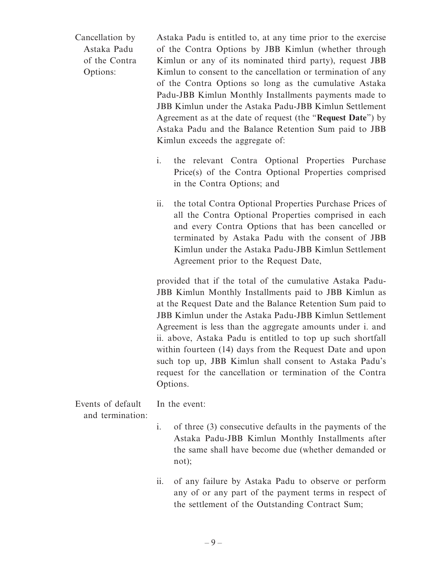Cancellation by Astaka Padu of the Contra Options:

Astaka Padu is entitled to, at any time prior to the exercise of the Contra Options by JBB Kimlun (whether through Kimlun or any of its nominated third party), request JBB Kimlun to consent to the cancellation or termination of any of the Contra Options so long as the cumulative Astaka Padu-JBB Kimlun Monthly Installments payments made to JBB Kimlun under the Astaka Padu-JBB Kimlun Settlement Agreement as at the date of request (the "**Request Date**") by Astaka Padu and the Balance Retention Sum paid to JBB Kimlun exceeds the aggregate of:

- i. the relevant Contra Optional Properties Purchase Price(s) of the Contra Optional Properties comprised in the Contra Options; and
- ii. the total Contra Optional Properties Purchase Prices of all the Contra Optional Properties comprised in each and every Contra Options that has been cancelled or terminated by Astaka Padu with the consent of JBB Kimlun under the Astaka Padu-JBB Kimlun Settlement Agreement prior to the Request Date,

provided that if the total of the cumulative Astaka Padu-JBB Kimlun Monthly Installments paid to JBB Kimlun as at the Request Date and the Balance Retention Sum paid to JBB Kimlun under the Astaka Padu-JBB Kimlun Settlement Agreement is less than the aggregate amounts under i. and ii. above, Astaka Padu is entitled to top up such shortfall within fourteen (14) days from the Request Date and upon such top up, JBB Kimlun shall consent to Astaka Padu's request for the cancellation or termination of the Contra Options.

| Events of default | In the event: |
|-------------------|---------------|
| and termination:  |               |

- i. of three (3) consecutive defaults in the payments of the Astaka Padu-JBB Kimlun Monthly Installments after the same shall have become due (whether demanded or not);
- ii. of any failure by Astaka Padu to observe or perform any of or any part of the payment terms in respect of the settlement of the Outstanding Contract Sum;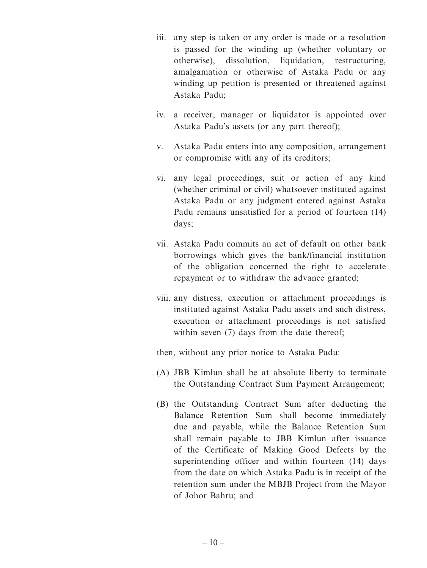- iii. any step is taken or any order is made or a resolution is passed for the winding up (whether voluntary or otherwise), dissolution, liquidation, restructuring, amalgamation or otherwise of Astaka Padu or any winding up petition is presented or threatened against Astaka Padu;
- iv. a receiver, manager or liquidator is appointed over Astaka Padu's assets (or any part thereof);
- v. Astaka Padu enters into any composition, arrangement or compromise with any of its creditors;
- vi. any legal proceedings, suit or action of any kind (whether criminal or civil) whatsoever instituted against Astaka Padu or any judgment entered against Astaka Padu remains unsatisfied for a period of fourteen (14) days;
- vii. Astaka Padu commits an act of default on other bank borrowings which gives the bank/financial institution of the obligation concerned the right to accelerate repayment or to withdraw the advance granted;
- viii. any distress, execution or attachment proceedings is instituted against Astaka Padu assets and such distress, execution or attachment proceedings is not satisfied within seven (7) days from the date thereof;

then, without any prior notice to Astaka Padu:

- (A) JBB Kimlun shall be at absolute liberty to terminate the Outstanding Contract Sum Payment Arrangement;
- (B) the Outstanding Contract Sum after deducting the Balance Retention Sum shall become immediately due and payable, while the Balance Retention Sum shall remain payable to JBB Kimlun after issuance of the Certificate of Making Good Defects by the superintending officer and within fourteen (14) days from the date on which Astaka Padu is in receipt of the retention sum under the MBJB Project from the Mayor of Johor Bahru; and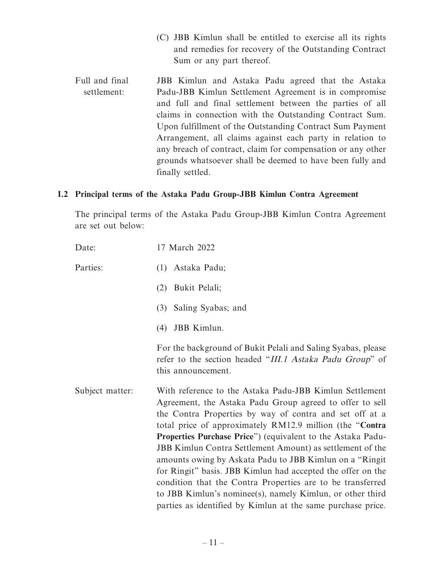- (C) JBB Kimlun shall be entitled to exercise all its rights and remedies for recovery of the Outstanding Contract Sum or any part thereof.
- Full and final settlement: JBB Kimlun and Astaka Padu agreed that the Astaka Padu-JBB Kimlun Settlement Agreement is in compromise and full and final settlement between the parties of all claims in connection with the Outstanding Contract Sum. Upon fulfillment of the Outstanding Contract Sum Payment Arrangement, all claims against each party in relation to any breach of contract, claim for compensation or any other grounds whatsoever shall be deemed to have been fully and finally settled.

#### **I.2 Principal terms of the Astaka Padu Group-JBB Kimlun Contra Agreement**

The principal terms of the Astaka Padu Group-JBB Kimlun Contra Agreement are set out below:

| Date:           | 17 March 2022                                                                                                                                                                                                                                                                                                                                                                                                                                                                                                                                                                                                                                                                                             |
|-----------------|-----------------------------------------------------------------------------------------------------------------------------------------------------------------------------------------------------------------------------------------------------------------------------------------------------------------------------------------------------------------------------------------------------------------------------------------------------------------------------------------------------------------------------------------------------------------------------------------------------------------------------------------------------------------------------------------------------------|
| Parties:        | Astaka Padu;<br>(1)                                                                                                                                                                                                                                                                                                                                                                                                                                                                                                                                                                                                                                                                                       |
|                 | Bukit Pelali;<br>(2)                                                                                                                                                                                                                                                                                                                                                                                                                                                                                                                                                                                                                                                                                      |
|                 | Saling Syabas; and<br>(3)                                                                                                                                                                                                                                                                                                                                                                                                                                                                                                                                                                                                                                                                                 |
|                 | JBB Kimlun.<br>(4)                                                                                                                                                                                                                                                                                                                                                                                                                                                                                                                                                                                                                                                                                        |
|                 | For the background of Bukit Pelali and Saling Syabas, please<br>refer to the section headed "III.1 Astaka Padu Group" of<br>this announcement.                                                                                                                                                                                                                                                                                                                                                                                                                                                                                                                                                            |
| Subject matter: | With reference to the Astaka Padu-JBB Kimlun Settlement<br>Agreement, the Astaka Padu Group agreed to offer to sell<br>the Contra Properties by way of contra and set off at a<br>total price of approximately RM12.9 million (the "Contra<br><b>Properties Purchase Price</b> " (equivalent to the Astaka Padu-<br><b>JBB Kimlun Contra Settlement Amount) as settlement of the</b><br>amounts owing by Askata Padu to JBB Kimlun on a "Ringit"<br>for Ringit" basis. JBB Kimlun had accepted the offer on the<br>condition that the Contra Properties are to be transferred<br>to JBB Kimlun's nominee(s), namely Kimlun, or other third<br>parties as identified by Kimlun at the same purchase price. |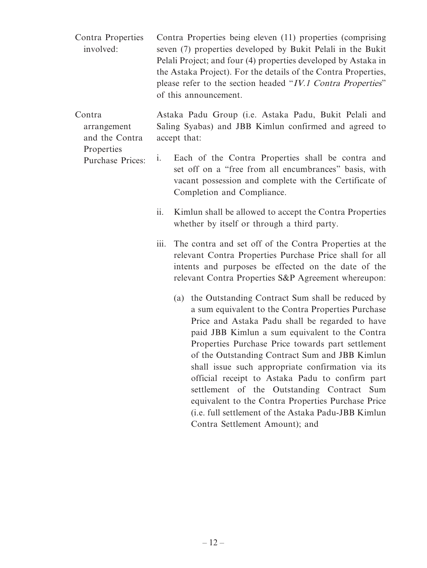- Contra Properties involved: Contra Properties being eleven (11) properties (comprising seven (7) properties developed by Bukit Pelali in the Bukit Pelali Project; and four (4) properties developed by Astaka in the Astaka Project). For the details of the Contra Properties, please refer to the section headed "IV.1 Contra Properties" of this announcement.
- Contra arrangement and the Contra Astaka Padu Group (i.e. Astaka Padu, Bukit Pelali and Saling Syabas) and JBB Kimlun confirmed and agreed to accept that:
	- Properties Purchase Prices: i. Each of the Contra Properties shall be contra and set off on a "free from all encumbrances" basis, with vacant possession and complete with the Certificate of Completion and Compliance.
		- ii. Kimlun shall be allowed to accept the Contra Properties whether by itself or through a third party.
		- iii. The contra and set off of the Contra Properties at the relevant Contra Properties Purchase Price shall for all intents and purposes be effected on the date of the relevant Contra Properties S&P Agreement whereupon:
			- (a) the Outstanding Contract Sum shall be reduced by a sum equivalent to the Contra Properties Purchase Price and Astaka Padu shall be regarded to have paid JBB Kimlun a sum equivalent to the Contra Properties Purchase Price towards part settlement of the Outstanding Contract Sum and JBB Kimlun shall issue such appropriate confirmation via its official receipt to Astaka Padu to confirm part settlement of the Outstanding Contract Sum equivalent to the Contra Properties Purchase Price (i.e. full settlement of the Astaka Padu-JBB Kimlun Contra Settlement Amount); and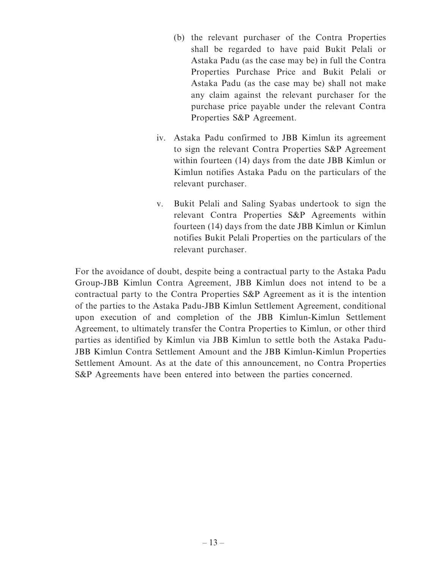- (b) the relevant purchaser of the Contra Properties shall be regarded to have paid Bukit Pelali or Astaka Padu (as the case may be) in full the Contra Properties Purchase Price and Bukit Pelali or Astaka Padu (as the case may be) shall not make any claim against the relevant purchaser for the purchase price payable under the relevant Contra Properties S&P Agreement.
- iv. Astaka Padu confirmed to JBB Kimlun its agreement to sign the relevant Contra Properties S&P Agreement within fourteen (14) days from the date JBB Kimlun or Kimlun notifies Astaka Padu on the particulars of the relevant purchaser.
- v. Bukit Pelali and Saling Syabas undertook to sign the relevant Contra Properties S&P Agreements within fourteen (14) days from the date JBB Kimlun or Kimlun notifies Bukit Pelali Properties on the particulars of the relevant purchaser.

For the avoidance of doubt, despite being a contractual party to the Astaka Padu Group-JBB Kimlun Contra Agreement, JBB Kimlun does not intend to be a contractual party to the Contra Properties S&P Agreement as it is the intention of the parties to the Astaka Padu-JBB Kimlun Settlement Agreement, conditional upon execution of and completion of the JBB Kimlun-Kimlun Settlement Agreement, to ultimately transfer the Contra Properties to Kimlun, or other third parties as identified by Kimlun via JBB Kimlun to settle both the Astaka Padu-JBB Kimlun Contra Settlement Amount and the JBB Kimlun-Kimlun Properties Settlement Amount. As at the date of this announcement, no Contra Properties S&P Agreements have been entered into between the parties concerned.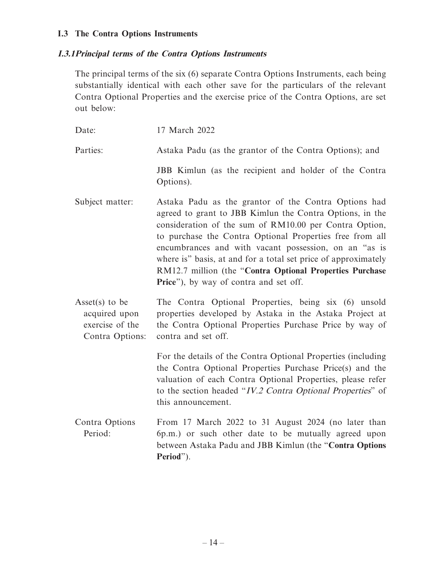#### **I.3 The Contra Options Instruments**

#### **I.3.1 Principal terms of the Contra Options Instruments**

The principal terms of the six (6) separate Contra Options Instruments, each being substantially identical with each other save for the particulars of the relevant Contra Optional Properties and the exercise price of the Contra Options, are set out below:

| Date:                                                                 | 17 March 2022                                                                                                                                                                                                                                                                                                                                                                                                                                                           |
|-----------------------------------------------------------------------|-------------------------------------------------------------------------------------------------------------------------------------------------------------------------------------------------------------------------------------------------------------------------------------------------------------------------------------------------------------------------------------------------------------------------------------------------------------------------|
| Parties:                                                              | Astaka Padu (as the grantor of the Contra Options); and                                                                                                                                                                                                                                                                                                                                                                                                                 |
|                                                                       | JBB Kimlun (as the recipient and holder of the Contra<br>Options).                                                                                                                                                                                                                                                                                                                                                                                                      |
| Subject matter:                                                       | Astaka Padu as the grantor of the Contra Options had<br>agreed to grant to JBB Kimlun the Contra Options, in the<br>consideration of the sum of RM10.00 per Contra Option,<br>to purchase the Contra Optional Properties free from all<br>encumbrances and with vacant possession, on an "as is<br>where is" basis, at and for a total set price of approximately<br>RM12.7 million (the "Contra Optional Properties Purchase<br>Price"), by way of contra and set off. |
| Asset(s) to be<br>acquired upon<br>exercise of the<br>Contra Options: | The Contra Optional Properties, being six (6) unsold<br>properties developed by Astaka in the Astaka Project at<br>the Contra Optional Properties Purchase Price by way of<br>contra and set off.                                                                                                                                                                                                                                                                       |
|                                                                       | For the details of the Contra Optional Properties (including<br>the Contra Optional Properties Purchase Price(s) and the                                                                                                                                                                                                                                                                                                                                                |

valuation of each Contra Optional Properties, please refer to the section headed "IV.2 Contra Optional Properties" of this announcement.

Contra Options Period: From 17 March 2022 to 31 August 2024 (no later than 6p.m.) or such other date to be mutually agreed upon between Astaka Padu and JBB Kimlun (the "**Contra Options Period**").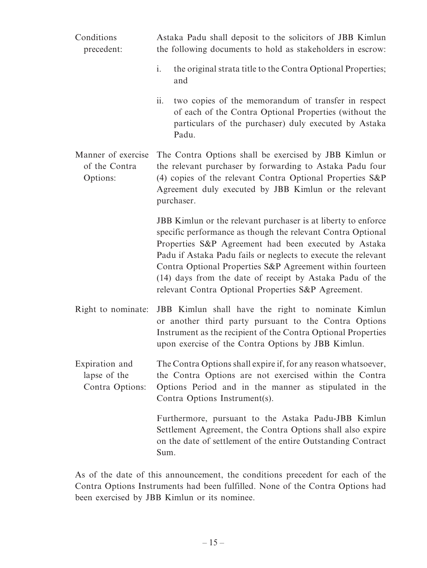| Conditions<br>precedent:                          | Astaka Padu shall deposit to the solicitors of JBB Kimlun<br>the following documents to hold as stakeholders in escrow:                                                                                                                                                                                                                                                                                                             |
|---------------------------------------------------|-------------------------------------------------------------------------------------------------------------------------------------------------------------------------------------------------------------------------------------------------------------------------------------------------------------------------------------------------------------------------------------------------------------------------------------|
|                                                   | the original strata title to the Contra Optional Properties;<br>$\mathbf{i}$ .<br>and                                                                                                                                                                                                                                                                                                                                               |
|                                                   | ii.<br>two copies of the memorandum of transfer in respect<br>of each of the Contra Optional Properties (without the<br>particulars of the purchaser) duly executed by Astaka<br>Padu.                                                                                                                                                                                                                                              |
| Manner of exercise<br>of the Contra<br>Options:   | The Contra Options shall be exercised by JBB Kimlun or<br>the relevant purchaser by forwarding to Astaka Padu four<br>(4) copies of the relevant Contra Optional Properties S&P<br>Agreement duly executed by JBB Kimlun or the relevant<br>purchaser.                                                                                                                                                                              |
|                                                   | JBB Kimlun or the relevant purchaser is at liberty to enforce<br>specific performance as though the relevant Contra Optional<br>Properties S&P Agreement had been executed by Astaka<br>Padu if Astaka Padu fails or neglects to execute the relevant<br>Contra Optional Properties S&P Agreement within fourteen<br>(14) days from the date of receipt by Astaka Padu of the<br>relevant Contra Optional Properties S&P Agreement. |
| Right to nominate:                                | JBB Kimlun shall have the right to nominate Kimlun<br>or another third party pursuant to the Contra Options<br>Instrument as the recipient of the Contra Optional Properties<br>upon exercise of the Contra Options by JBB Kimlun.                                                                                                                                                                                                  |
| Expiration and<br>lapse of the<br>Contra Options: | The Contra Options shall expire if, for any reason whatsoever,<br>the Contra Options are not exercised within the Contra<br>Options Period and in the manner as stipulated in the<br>Contra Options Instrument(s).                                                                                                                                                                                                                  |
|                                                   | Furthermore, pursuant to the Astaka Padu-JBB Kimlun<br>Settlement Agreement, the Contra Options shall also expire<br>on the date of settlement of the entire Outstanding Contract<br>Sum.                                                                                                                                                                                                                                           |

As of the date of this announcement, the conditions precedent for each of the Contra Options Instruments had been fulfilled. None of the Contra Options had been exercised by JBB Kimlun or its nominee.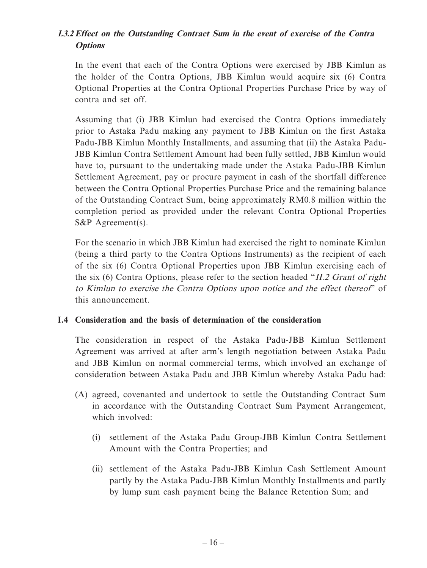# **I.3.2 Effect on the Outstanding Contract Sum in the event of exercise of the Contra Options**

In the event that each of the Contra Options were exercised by JBB Kimlun as the holder of the Contra Options, JBB Kimlun would acquire six (6) Contra Optional Properties at the Contra Optional Properties Purchase Price by way of contra and set off.

Assuming that (i) JBB Kimlun had exercised the Contra Options immediately prior to Astaka Padu making any payment to JBB Kimlun on the first Astaka Padu-JBB Kimlun Monthly Installments, and assuming that (ii) the Astaka Padu-JBB Kimlun Contra Settlement Amount had been fully settled, JBB Kimlun would have to, pursuant to the undertaking made under the Astaka Padu-JBB Kimlun Settlement Agreement, pay or procure payment in cash of the shortfall difference between the Contra Optional Properties Purchase Price and the remaining balance of the Outstanding Contract Sum, being approximately RM0.8 million within the completion period as provided under the relevant Contra Optional Properties S&P Agreement(s).

For the scenario in which JBB Kimlun had exercised the right to nominate Kimlun (being a third party to the Contra Options Instruments) as the recipient of each of the six (6) Contra Optional Properties upon JBB Kimlun exercising each of the six (6) Contra Options, please refer to the section headed "II.2 Grant of right to Kimlun to exercise the Contra Options upon notice and the effect thereof" of this announcement.

### **I.4 Consideration and the basis of determination of the consideration**

The consideration in respect of the Astaka Padu-JBB Kimlun Settlement Agreement was arrived at after arm's length negotiation between Astaka Padu and JBB Kimlun on normal commercial terms, which involved an exchange of consideration between Astaka Padu and JBB Kimlun whereby Astaka Padu had:

- (A) agreed, covenanted and undertook to settle the Outstanding Contract Sum in accordance with the Outstanding Contract Sum Payment Arrangement, which involved:
	- (i) settlement of the Astaka Padu Group-JBB Kimlun Contra Settlement Amount with the Contra Properties; and
	- (ii) settlement of the Astaka Padu-JBB Kimlun Cash Settlement Amount partly by the Astaka Padu-JBB Kimlun Monthly Installments and partly by lump sum cash payment being the Balance Retention Sum; and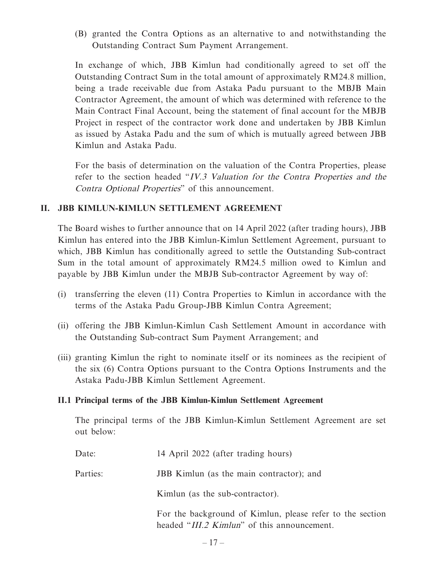(B) granted the Contra Options as an alternative to and notwithstanding the Outstanding Contract Sum Payment Arrangement.

In exchange of which, JBB Kimlun had conditionally agreed to set off the Outstanding Contract Sum in the total amount of approximately RM24.8 million, being a trade receivable due from Astaka Padu pursuant to the MBJB Main Contractor Agreement, the amount of which was determined with reference to the Main Contract Final Account, being the statement of final account for the MBJB Project in respect of the contractor work done and undertaken by JBB Kimlun as issued by Astaka Padu and the sum of which is mutually agreed between JBB Kimlun and Astaka Padu.

For the basis of determination on the valuation of the Contra Properties, please refer to the section headed "IV.3 Valuation for the Contra Properties and the Contra Optional Properties" of this announcement.

### **II. JBB KIMLUN-KIMLUN SETTLEMENT AGREEMENT**

The Board wishes to further announce that on 14 April 2022 (after trading hours), JBB Kimlun has entered into the JBB Kimlun-Kimlun Settlement Agreement, pursuant to which, JBB Kimlun has conditionally agreed to settle the Outstanding Sub-contract Sum in the total amount of approximately RM24.5 million owed to Kimlun and payable by JBB Kimlun under the MBJB Sub-contractor Agreement by way of:

- (i) transferring the eleven (11) Contra Properties to Kimlun in accordance with the terms of the Astaka Padu Group-JBB Kimlun Contra Agreement;
- (ii) offering the JBB Kimlun-Kimlun Cash Settlement Amount in accordance with the Outstanding Sub-contract Sum Payment Arrangement; and
- (iii) granting Kimlun the right to nominate itself or its nominees as the recipient of the six (6) Contra Options pursuant to the Contra Options Instruments and the Astaka Padu-JBB Kimlun Settlement Agreement.

#### **II.1 Principal terms of the JBB Kimlun-Kimlun Settlement Agreement**

The principal terms of the JBB Kimlun-Kimlun Settlement Agreement are set out below:

| Date:    | 14 April 2022 (after trading hours)                                                                      |
|----------|----------------------------------------------------------------------------------------------------------|
| Parties: | JBB Kimlun (as the main contractor); and                                                                 |
|          | Kimlun (as the sub-contractor).                                                                          |
|          | For the background of Kimlun, please refer to the section<br>headed "III.2 Kimlun" of this announcement. |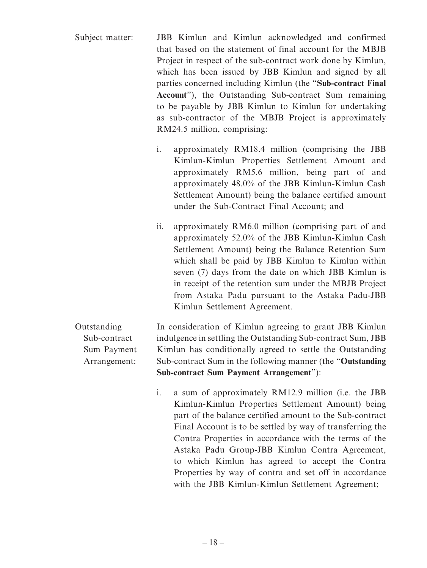- Subject matter: JBB Kimlun and Kimlun acknowledged and confirmed that based on the statement of final account for the MBJB Project in respect of the sub-contract work done by Kimlun, which has been issued by JBB Kimlun and signed by all parties concerned including Kimlun (the "**Sub-contract Final Account**"), the Outstanding Sub-contract Sum remaining to be payable by JBB Kimlun to Kimlun for undertaking as sub-contractor of the MBJB Project is approximately RM24.5 million, comprising:
	- i. approximately RM18.4 million (comprising the JBB Kimlun-Kimlun Properties Settlement Amount and approximately RM5.6 million, being part of and approximately 48.0% of the JBB Kimlun-Kimlun Cash Settlement Amount) being the balance certified amount under the Sub-Contract Final Account; and
	- ii. approximately RM6.0 million (comprising part of and approximately 52.0% of the JBB Kimlun-Kimlun Cash Settlement Amount) being the Balance Retention Sum which shall be paid by JBB Kimlun to Kimlun within seven (7) days from the date on which JBB Kimlun is in receipt of the retention sum under the MBJB Project from Astaka Padu pursuant to the Astaka Padu-JBB Kimlun Settlement Agreement.

Outstanding Sub-contract Sum Payment Arrangement: In consideration of Kimlun agreeing to grant JBB Kimlun indulgence in settling the Outstanding Sub-contract Sum, JBB Kimlun has conditionally agreed to settle the Outstanding Sub-contract Sum in the following manner (the "**Outstanding Sub-contract Sum Payment Arrangement**"):

> i. a sum of approximately RM12.9 million (i.e. the JBB Kimlun-Kimlun Properties Settlement Amount) being part of the balance certified amount to the Sub-contract Final Account is to be settled by way of transferring the Contra Properties in accordance with the terms of the Astaka Padu Group-JBB Kimlun Contra Agreement, to which Kimlun has agreed to accept the Contra Properties by way of contra and set off in accordance with the JBB Kimlun-Kimlun Settlement Agreement;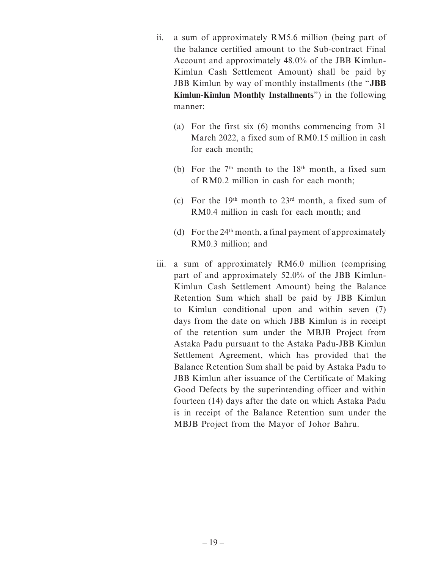- ii. a sum of approximately RM5.6 million (being part of the balance certified amount to the Sub-contract Final Account and approximately 48.0% of the JBB Kimlun-Kimlun Cash Settlement Amount) shall be paid by JBB Kimlun by way of monthly installments (the "**JBB Kimlun-Kimlun Monthly Installments**") in the following manner:
	- (a) For the first six (6) months commencing from 31 March 2022, a fixed sum of RM0.15 million in cash for each month;
	- (b) For the  $7<sup>th</sup>$  month to the  $18<sup>th</sup>$  month, a fixed sum of RM0.2 million in cash for each month;
	- (c) For the 19<sup>th</sup> month to  $23<sup>rd</sup>$  month, a fixed sum of RM0.4 million in cash for each month; and
	- (d) For the  $24<sup>th</sup>$  month, a final payment of approximately RM0.3 million; and
- iii. a sum of approximately RM6.0 million (comprising part of and approximately 52.0% of the JBB Kimlun-Kimlun Cash Settlement Amount) being the Balance Retention Sum which shall be paid by JBB Kimlun to Kimlun conditional upon and within seven (7) days from the date on which JBB Kimlun is in receipt of the retention sum under the MBJB Project from Astaka Padu pursuant to the Astaka Padu-JBB Kimlun Settlement Agreement, which has provided that the Balance Retention Sum shall be paid by Astaka Padu to JBB Kimlun after issuance of the Certificate of Making Good Defects by the superintending officer and within fourteen (14) days after the date on which Astaka Padu is in receipt of the Balance Retention sum under the MBJB Project from the Mayor of Johor Bahru.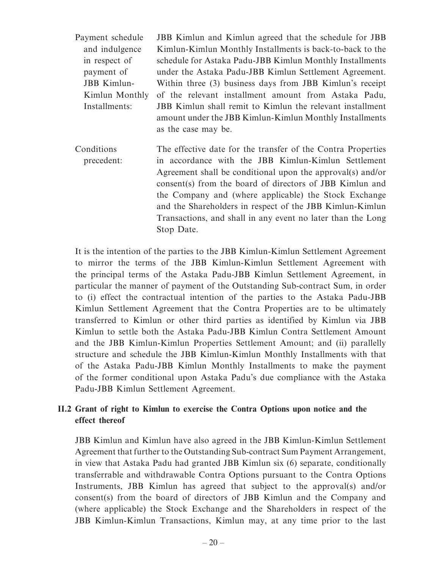| Payment schedule   | JBB Kimlun and Kimlun agreed that the schedule for JBB                                                                                      |
|--------------------|---------------------------------------------------------------------------------------------------------------------------------------------|
| and indulgence     | Kimlun-Kimlun Monthly Installments is back-to-back to the                                                                                   |
| in respect of      | schedule for Astaka Padu-JBB Kimlun Monthly Installments                                                                                    |
| payment of         | under the Astaka Padu-JBB Kimlun Settlement Agreement.                                                                                      |
| <b>JBB</b> Kimlun- | Within three (3) business days from JBB Kimlun's receipt                                                                                    |
| Kimlun Monthly     | of the relevant installment amount from Astaka Padu,                                                                                        |
| Installments:      | JBB Kimlun shall remit to Kimlun the relevant installment<br>amount under the JBB Kimlun-Kimlun Monthly Installments<br>as the case may be. |

Conditions precedent: The effective date for the transfer of the Contra Properties in accordance with the JBB Kimlun-Kimlun Settlement Agreement shall be conditional upon the approval(s) and/or consent(s) from the board of directors of JBB Kimlun and the Company and (where applicable) the Stock Exchange and the Shareholders in respect of the JBB Kimlun-Kimlun Transactions, and shall in any event no later than the Long Stop Date.

It is the intention of the parties to the JBB Kimlun-Kimlun Settlement Agreement to mirror the terms of the JBB Kimlun-Kimlun Settlement Agreement with the principal terms of the Astaka Padu-JBB Kimlun Settlement Agreement, in particular the manner of payment of the Outstanding Sub-contract Sum, in order to (i) effect the contractual intention of the parties to the Astaka Padu-JBB Kimlun Settlement Agreement that the Contra Properties are to be ultimately transferred to Kimlun or other third parties as identified by Kimlun via JBB Kimlun to settle both the Astaka Padu-JBB Kimlun Contra Settlement Amount and the JBB Kimlun-Kimlun Properties Settlement Amount; and (ii) parallelly structure and schedule the JBB Kimlun-Kimlun Monthly Installments with that of the Astaka Padu-JBB Kimlun Monthly Installments to make the payment of the former conditional upon Astaka Padu's due compliance with the Astaka Padu-JBB Kimlun Settlement Agreement.

### **II.2 Grant of right to Kimlun to exercise the Contra Options upon notice and the effect thereof**

JBB Kimlun and Kimlun have also agreed in the JBB Kimlun-Kimlun Settlement Agreement that further to the Outstanding Sub-contract Sum Payment Arrangement, in view that Astaka Padu had granted JBB Kimlun six (6) separate, conditionally transferrable and withdrawable Contra Options pursuant to the Contra Options Instruments, JBB Kimlun has agreed that subject to the approval(s) and/or consent(s) from the board of directors of JBB Kimlun and the Company and (where applicable) the Stock Exchange and the Shareholders in respect of the JBB Kimlun-Kimlun Transactions, Kimlun may, at any time prior to the last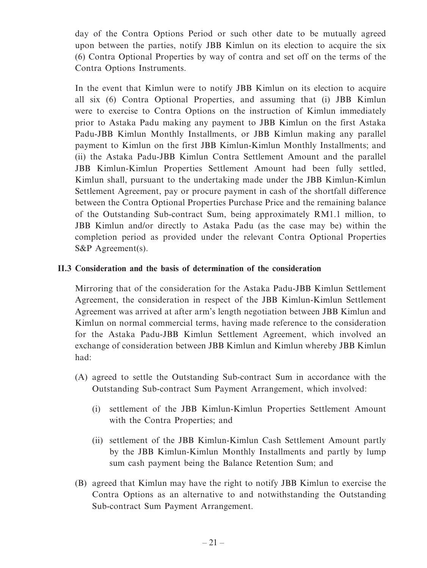day of the Contra Options Period or such other date to be mutually agreed upon between the parties, notify JBB Kimlun on its election to acquire the six (6) Contra Optional Properties by way of contra and set off on the terms of the Contra Options Instruments.

In the event that Kimlun were to notify JBB Kimlun on its election to acquire all six (6) Contra Optional Properties, and assuming that (i) JBB Kimlun were to exercise to Contra Options on the instruction of Kimlun immediately prior to Astaka Padu making any payment to JBB Kimlun on the first Astaka Padu-JBB Kimlun Monthly Installments, or JBB Kimlun making any parallel payment to Kimlun on the first JBB Kimlun-Kimlun Monthly Installments; and (ii) the Astaka Padu-JBB Kimlun Contra Settlement Amount and the parallel JBB Kimlun-Kimlun Properties Settlement Amount had been fully settled, Kimlun shall, pursuant to the undertaking made under the JBB Kimlun-Kimlun Settlement Agreement, pay or procure payment in cash of the shortfall difference between the Contra Optional Properties Purchase Price and the remaining balance of the Outstanding Sub-contract Sum, being approximately RM1.1 million, to JBB Kimlun and/or directly to Astaka Padu (as the case may be) within the completion period as provided under the relevant Contra Optional Properties S&P Agreement(s).

#### **II.3 Consideration and the basis of determination of the consideration**

Mirroring that of the consideration for the Astaka Padu-JBB Kimlun Settlement Agreement, the consideration in respect of the JBB Kimlun-Kimlun Settlement Agreement was arrived at after arm's length negotiation between JBB Kimlun and Kimlun on normal commercial terms, having made reference to the consideration for the Astaka Padu-JBB Kimlun Settlement Agreement, which involved an exchange of consideration between JBB Kimlun and Kimlun whereby JBB Kimlun had:

- (A) agreed to settle the Outstanding Sub-contract Sum in accordance with the Outstanding Sub-contract Sum Payment Arrangement, which involved:
	- (i) settlement of the JBB Kimlun-Kimlun Properties Settlement Amount with the Contra Properties; and
	- (ii) settlement of the JBB Kimlun-Kimlun Cash Settlement Amount partly by the JBB Kimlun-Kimlun Monthly Installments and partly by lump sum cash payment being the Balance Retention Sum; and
- (B) agreed that Kimlun may have the right to notify JBB Kimlun to exercise the Contra Options as an alternative to and notwithstanding the Outstanding Sub-contract Sum Payment Arrangement.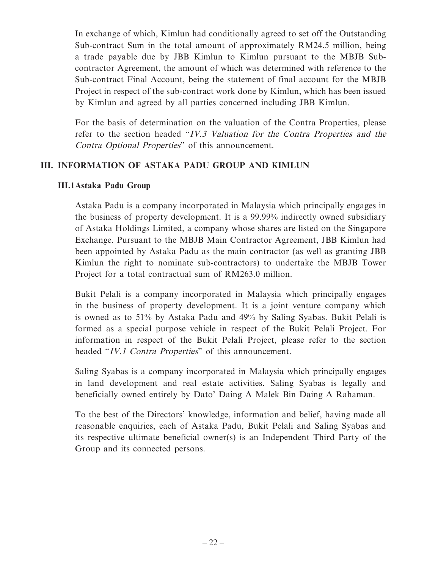In exchange of which, Kimlun had conditionally agreed to set off the Outstanding Sub-contract Sum in the total amount of approximately RM24.5 million, being a trade payable due by JBB Kimlun to Kimlun pursuant to the MBJB Subcontractor Agreement, the amount of which was determined with reference to the Sub-contract Final Account, being the statement of final account for the MBJB Project in respect of the sub-contract work done by Kimlun, which has been issued by Kimlun and agreed by all parties concerned including JBB Kimlun.

For the basis of determination on the valuation of the Contra Properties, please refer to the section headed "IV.3 Valuation for the Contra Properties and the Contra Optional Properties" of this announcement.

#### **III. INFORMATION OF ASTAKA PADU GROUP AND KIMLUN**

#### **III.1 Astaka Padu Group**

Astaka Padu is a company incorporated in Malaysia which principally engages in the business of property development. It is a 99.99% indirectly owned subsidiary of Astaka Holdings Limited, a company whose shares are listed on the Singapore Exchange. Pursuant to the MBJB Main Contractor Agreement, JBB Kimlun had been appointed by Astaka Padu as the main contractor (as well as granting JBB Kimlun the right to nominate sub-contractors) to undertake the MBJB Tower Project for a total contractual sum of RM263.0 million.

Bukit Pelali is a company incorporated in Malaysia which principally engages in the business of property development. It is a joint venture company which is owned as to 51% by Astaka Padu and 49% by Saling Syabas. Bukit Pelali is formed as a special purpose vehicle in respect of the Bukit Pelali Project. For information in respect of the Bukit Pelali Project, please refer to the section headed "IV.1 Contra Properties" of this announcement.

Saling Syabas is a company incorporated in Malaysia which principally engages in land development and real estate activities. Saling Syabas is legally and beneficially owned entirely by Dato' Daing A Malek Bin Daing A Rahaman.

To the best of the Directors' knowledge, information and belief, having made all reasonable enquiries, each of Astaka Padu, Bukit Pelali and Saling Syabas and its respective ultimate beneficial owner(s) is an Independent Third Party of the Group and its connected persons.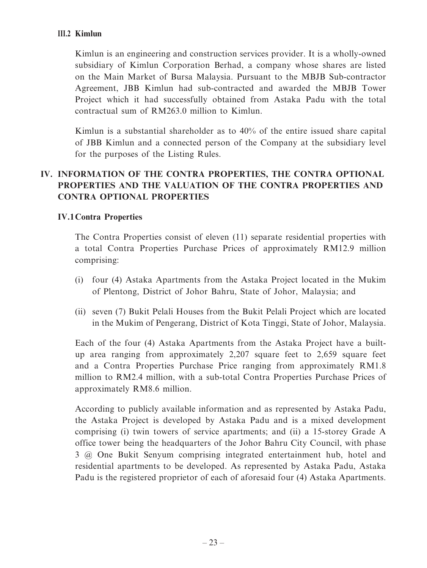#### **III.2 Kimlun**

Kimlun is an engineering and construction services provider. It is a wholly-owned subsidiary of Kimlun Corporation Berhad, a company whose shares are listed on the Main Market of Bursa Malaysia. Pursuant to the MBJB Sub-contractor Agreement, JBB Kimlun had sub-contracted and awarded the MBJB Tower Project which it had successfully obtained from Astaka Padu with the total contractual sum of RM263.0 million to Kimlun.

Kimlun is a substantial shareholder as to 40% of the entire issued share capital of JBB Kimlun and a connected person of the Company at the subsidiary level for the purposes of the Listing Rules.

# **IV. INFORMATION OF THE CONTRA PROPERTIES, THE CONTRA OPTIONAL PROPERTIES AND THE VALUATION OF THE CONTRA PROPERTIES AND CONTRA OPTIONAL PROPERTIES**

### **IV.1 Contra Properties**

The Contra Properties consist of eleven (11) separate residential properties with a total Contra Properties Purchase Prices of approximately RM12.9 million comprising:

- (i) four (4) Astaka Apartments from the Astaka Project located in the Mukim of Plentong, District of Johor Bahru, State of Johor, Malaysia; and
- (ii) seven (7) Bukit Pelali Houses from the Bukit Pelali Project which are located in the Mukim of Pengerang, District of Kota Tinggi, State of Johor, Malaysia.

Each of the four (4) Astaka Apartments from the Astaka Project have a builtup area ranging from approximately 2,207 square feet to 2,659 square feet and a Contra Properties Purchase Price ranging from approximately RM1.8 million to RM2.4 million, with a sub-total Contra Properties Purchase Prices of approximately RM8.6 million.

According to publicly available information and as represented by Astaka Padu, the Astaka Project is developed by Astaka Padu and is a mixed development comprising (i) twin towers of service apartments; and (ii) a 15-storey Grade A office tower being the headquarters of the Johor Bahru City Council, with phase 3 @ One Bukit Senyum comprising integrated entertainment hub, hotel and residential apartments to be developed. As represented by Astaka Padu, Astaka Padu is the registered proprietor of each of aforesaid four (4) Astaka Apartments.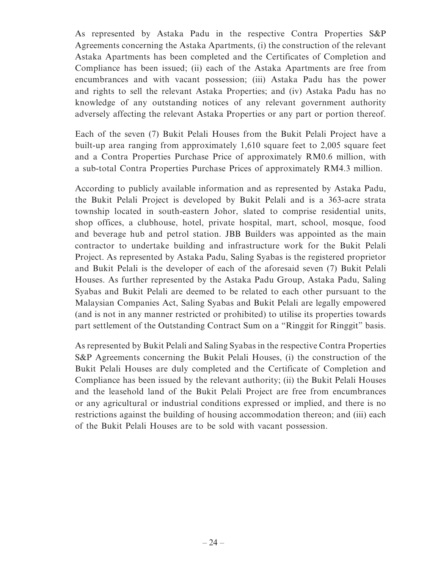As represented by Astaka Padu in the respective Contra Properties S&P Agreements concerning the Astaka Apartments, (i) the construction of the relevant Astaka Apartments has been completed and the Certificates of Completion and Compliance has been issued; (ii) each of the Astaka Apartments are free from encumbrances and with vacant possession; (iii) Astaka Padu has the power and rights to sell the relevant Astaka Properties; and (iv) Astaka Padu has no knowledge of any outstanding notices of any relevant government authority adversely affecting the relevant Astaka Properties or any part or portion thereof.

Each of the seven (7) Bukit Pelali Houses from the Bukit Pelali Project have a built-up area ranging from approximately 1,610 square feet to 2,005 square feet and a Contra Properties Purchase Price of approximately RM0.6 million, with a sub-total Contra Properties Purchase Prices of approximately RM4.3 million.

According to publicly available information and as represented by Astaka Padu, the Bukit Pelali Project is developed by Bukit Pelali and is a 363-acre strata township located in south-eastern Johor, slated to comprise residential units, shop offices, a clubhouse, hotel, private hospital, mart, school, mosque, food and beverage hub and petrol station. JBB Builders was appointed as the main contractor to undertake building and infrastructure work for the Bukit Pelali Project. As represented by Astaka Padu, Saling Syabas is the registered proprietor and Bukit Pelali is the developer of each of the aforesaid seven (7) Bukit Pelali Houses. As further represented by the Astaka Padu Group, Astaka Padu, Saling Syabas and Bukit Pelali are deemed to be related to each other pursuant to the Malaysian Companies Act, Saling Syabas and Bukit Pelali are legally empowered (and is not in any manner restricted or prohibited) to utilise its properties towards part settlement of the Outstanding Contract Sum on a "Ringgit for Ringgit" basis.

As represented by Bukit Pelali and Saling Syabas in the respective Contra Properties S&P Agreements concerning the Bukit Pelali Houses, (i) the construction of the Bukit Pelali Houses are duly completed and the Certificate of Completion and Compliance has been issued by the relevant authority; (ii) the Bukit Pelali Houses and the leasehold land of the Bukit Pelali Project are free from encumbrances or any agricultural or industrial conditions expressed or implied, and there is no restrictions against the building of housing accommodation thereon; and (iii) each of the Bukit Pelali Houses are to be sold with vacant possession.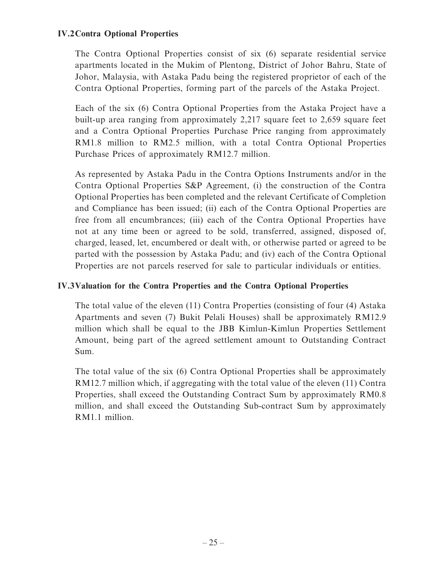### **IV.2 Contra Optional Properties**

The Contra Optional Properties consist of six (6) separate residential service apartments located in the Mukim of Plentong, District of Johor Bahru, State of Johor, Malaysia, with Astaka Padu being the registered proprietor of each of the Contra Optional Properties, forming part of the parcels of the Astaka Project.

Each of the six (6) Contra Optional Properties from the Astaka Project have a built-up area ranging from approximately 2,217 square feet to 2,659 square feet and a Contra Optional Properties Purchase Price ranging from approximately RM1.8 million to RM2.5 million, with a total Contra Optional Properties Purchase Prices of approximately RM12.7 million.

As represented by Astaka Padu in the Contra Options Instruments and/or in the Contra Optional Properties S&P Agreement, (i) the construction of the Contra Optional Properties has been completed and the relevant Certificate of Completion and Compliance has been issued; (ii) each of the Contra Optional Properties are free from all encumbrances; (iii) each of the Contra Optional Properties have not at any time been or agreed to be sold, transferred, assigned, disposed of, charged, leased, let, encumbered or dealt with, or otherwise parted or agreed to be parted with the possession by Astaka Padu; and (iv) each of the Contra Optional Properties are not parcels reserved for sale to particular individuals or entities.

#### **IV.3 Valuation for the Contra Properties and the Contra Optional Properties**

The total value of the eleven (11) Contra Properties (consisting of four (4) Astaka Apartments and seven (7) Bukit Pelali Houses) shall be approximately RM12.9 million which shall be equal to the JBB Kimlun-Kimlun Properties Settlement Amount, being part of the agreed settlement amount to Outstanding Contract Sum.

The total value of the six (6) Contra Optional Properties shall be approximately RM12.7 million which, if aggregating with the total value of the eleven (11) Contra Properties, shall exceed the Outstanding Contract Sum by approximately RM0.8 million, and shall exceed the Outstanding Sub-contract Sum by approximately RM1.1 million.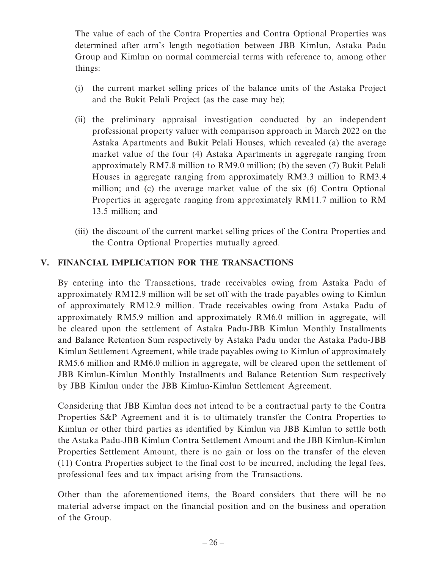The value of each of the Contra Properties and Contra Optional Properties was determined after arm's length negotiation between JBB Kimlun, Astaka Padu Group and Kimlun on normal commercial terms with reference to, among other things:

- (i) the current market selling prices of the balance units of the Astaka Project and the Bukit Pelali Project (as the case may be);
- (ii) the preliminary appraisal investigation conducted by an independent professional property valuer with comparison approach in March 2022 on the Astaka Apartments and Bukit Pelali Houses, which revealed (a) the average market value of the four (4) Astaka Apartments in aggregate ranging from approximately RM7.8 million to RM9.0 million; (b) the seven (7) Bukit Pelali Houses in aggregate ranging from approximately RM3.3 million to RM3.4 million; and (c) the average market value of the six (6) Contra Optional Properties in aggregate ranging from approximately RM11.7 million to RM 13.5 million; and
- (iii) the discount of the current market selling prices of the Contra Properties and the Contra Optional Properties mutually agreed.

### **V. FINANCIAL IMPLICATION FOR THE TRANSACTIONS**

By entering into the Transactions, trade receivables owing from Astaka Padu of approximately RM12.9 million will be set off with the trade payables owing to Kimlun of approximately RM12.9 million. Trade receivables owing from Astaka Padu of approximately RM5.9 million and approximately RM6.0 million in aggregate, will be cleared upon the settlement of Astaka Padu-JBB Kimlun Monthly Installments and Balance Retention Sum respectively by Astaka Padu under the Astaka Padu-JBB Kimlun Settlement Agreement, while trade payables owing to Kimlun of approximately RM5.6 million and RM6.0 million in aggregate, will be cleared upon the settlement of JBB Kimlun-Kimlun Monthly Installments and Balance Retention Sum respectively by JBB Kimlun under the JBB Kimlun-Kimlun Settlement Agreement.

Considering that JBB Kimlun does not intend to be a contractual party to the Contra Properties S&P Agreement and it is to ultimately transfer the Contra Properties to Kimlun or other third parties as identified by Kimlun via JBB Kimlun to settle both the Astaka Padu-JBB Kimlun Contra Settlement Amount and the JBB Kimlun-Kimlun Properties Settlement Amount, there is no gain or loss on the transfer of the eleven (11) Contra Properties subject to the final cost to be incurred, including the legal fees, professional fees and tax impact arising from the Transactions.

Other than the aforementioned items, the Board considers that there will be no material adverse impact on the financial position and on the business and operation of the Group.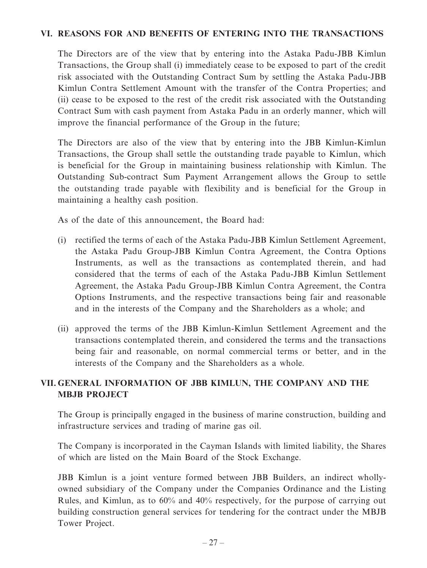### **VI. REASONS FOR AND BENEFITS OF ENTERING INTO THE TRANSACTIONS**

The Directors are of the view that by entering into the Astaka Padu-JBB Kimlun Transactions, the Group shall (i) immediately cease to be exposed to part of the credit risk associated with the Outstanding Contract Sum by settling the Astaka Padu-JBB Kimlun Contra Settlement Amount with the transfer of the Contra Properties; and (ii) cease to be exposed to the rest of the credit risk associated with the Outstanding Contract Sum with cash payment from Astaka Padu in an orderly manner, which will improve the financial performance of the Group in the future;

The Directors are also of the view that by entering into the JBB Kimlun-Kimlun Transactions, the Group shall settle the outstanding trade payable to Kimlun, which is beneficial for the Group in maintaining business relationship with Kimlun. The Outstanding Sub-contract Sum Payment Arrangement allows the Group to settle the outstanding trade payable with flexibility and is beneficial for the Group in maintaining a healthy cash position.

As of the date of this announcement, the Board had:

- (i) rectified the terms of each of the Astaka Padu-JBB Kimlun Settlement Agreement, the Astaka Padu Group-JBB Kimlun Contra Agreement, the Contra Options Instruments, as well as the transactions as contemplated therein, and had considered that the terms of each of the Astaka Padu-JBB Kimlun Settlement Agreement, the Astaka Padu Group-JBB Kimlun Contra Agreement, the Contra Options Instruments, and the respective transactions being fair and reasonable and in the interests of the Company and the Shareholders as a whole; and
- (ii) approved the terms of the JBB Kimlun-Kimlun Settlement Agreement and the transactions contemplated therein, and considered the terms and the transactions being fair and reasonable, on normal commercial terms or better, and in the interests of the Company and the Shareholders as a whole.

## **VII. GENERAL INFORMATION OF JBB KIMLUN, THE COMPANY AND THE MBJB PROJECT**

The Group is principally engaged in the business of marine construction, building and infrastructure services and trading of marine gas oil.

The Company is incorporated in the Cayman Islands with limited liability, the Shares of which are listed on the Main Board of the Stock Exchange.

JBB Kimlun is a joint venture formed between JBB Builders, an indirect whollyowned subsidiary of the Company under the Companies Ordinance and the Listing Rules, and Kimlun, as to 60% and 40% respectively, for the purpose of carrying out building construction general services for tendering for the contract under the MBJB Tower Project.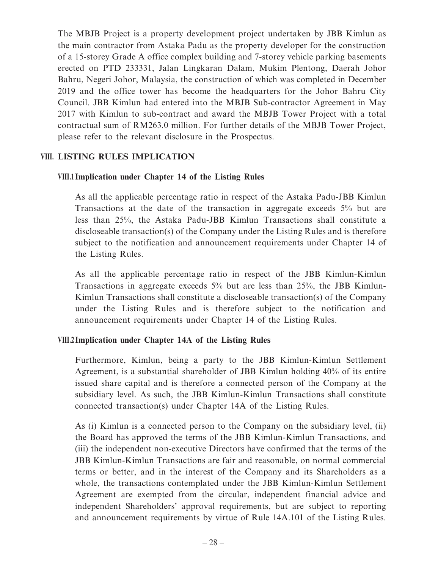The MBJB Project is a property development project undertaken by JBB Kimlun as the main contractor from Astaka Padu as the property developer for the construction of a 15-storey Grade A office complex building and 7-storey vehicle parking basements erected on PTD 233331, Jalan Lingkaran Dalam, Mukim Plentong, Daerah Johor Bahru, Negeri Johor, Malaysia, the construction of which was completed in December 2019 and the office tower has become the headquarters for the Johor Bahru City Council. JBB Kimlun had entered into the MBJB Sub-contractor Agreement in May 2017 with Kimlun to sub-contract and award the MBJB Tower Project with a total contractual sum of RM263.0 million. For further details of the MBJB Tower Project, please refer to the relevant disclosure in the Prospectus.

#### **VIII. LISTING RULES IMPLICATION**

### **VIII.1 Implication under Chapter 14 of the Listing Rules**

As all the applicable percentage ratio in respect of the Astaka Padu-JBB Kimlun Transactions at the date of the transaction in aggregate exceeds 5% but are less than 25%, the Astaka Padu-JBB Kimlun Transactions shall constitute a discloseable transaction(s) of the Company under the Listing Rules and is therefore subject to the notification and announcement requirements under Chapter 14 of the Listing Rules.

As all the applicable percentage ratio in respect of the JBB Kimlun-Kimlun Transactions in aggregate exceeds 5% but are less than 25%, the JBB Kimlun-Kimlun Transactions shall constitute a discloseable transaction(s) of the Company under the Listing Rules and is therefore subject to the notification and announcement requirements under Chapter 14 of the Listing Rules.

#### **VIII.2 Implication under Chapter 14A of the Listing Rules**

Furthermore, Kimlun, being a party to the JBB Kimlun-Kimlun Settlement Agreement, is a substantial shareholder of JBB Kimlun holding 40% of its entire issued share capital and is therefore a connected person of the Company at the subsidiary level. As such, the JBB Kimlun-Kimlun Transactions shall constitute connected transaction(s) under Chapter 14A of the Listing Rules.

As (i) Kimlun is a connected person to the Company on the subsidiary level, (ii) the Board has approved the terms of the JBB Kimlun-Kimlun Transactions, and (iii) the independent non-executive Directors have confirmed that the terms of the JBB Kimlun-Kimlun Transactions are fair and reasonable, on normal commercial terms or better, and in the interest of the Company and its Shareholders as a whole, the transactions contemplated under the JBB Kimlun-Kimlun Settlement Agreement are exempted from the circular, independent financial advice and independent Shareholders' approval requirements, but are subject to reporting and announcement requirements by virtue of Rule 14A.101 of the Listing Rules.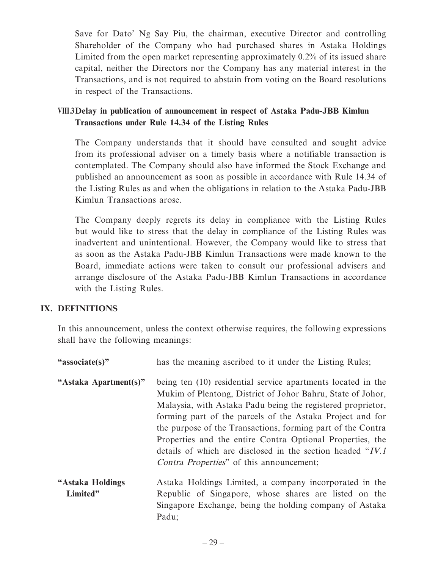Save for Dato' Ng Say Piu, the chairman, executive Director and controlling Shareholder of the Company who had purchased shares in Astaka Holdings Limited from the open market representing approximately 0.2% of its issued share capital, neither the Directors nor the Company has any material interest in the Transactions, and is not required to abstain from voting on the Board resolutions in respect of the Transactions.

## **VIII.3 Delay in publication of announcement in respect of Astaka Padu-JBB Kimlun Transactions under Rule 14.34 of the Listing Rules**

The Company understands that it should have consulted and sought advice from its professional adviser on a timely basis where a notifiable transaction is contemplated. The Company should also have informed the Stock Exchange and published an announcement as soon as possible in accordance with Rule 14.34 of the Listing Rules as and when the obligations in relation to the Astaka Padu-JBB Kimlun Transactions arose.

The Company deeply regrets its delay in compliance with the Listing Rules but would like to stress that the delay in compliance of the Listing Rules was inadvertent and unintentional. However, the Company would like to stress that as soon as the Astaka Padu-JBB Kimlun Transactions were made known to the Board, immediate actions were taken to consult our professional advisers and arrange disclosure of the Astaka Padu-JBB Kimlun Transactions in accordance with the Listing Rules.

### **IX. DEFINITIONS**

In this announcement, unless the context otherwise requires, the following expressions shall have the following meanings:

| "associate(s)"               | has the meaning ascribed to it under the Listing Rules;                                                                                                                                                                                                                                                                                                                                                                                                                                                |
|------------------------------|--------------------------------------------------------------------------------------------------------------------------------------------------------------------------------------------------------------------------------------------------------------------------------------------------------------------------------------------------------------------------------------------------------------------------------------------------------------------------------------------------------|
| "Astaka Apartment(s)"        | being ten (10) residential service apartments located in the<br>Mukim of Plentong, District of Johor Bahru, State of Johor,<br>Malaysia, with Astaka Padu being the registered proprietor,<br>forming part of the parcels of the Astaka Project and for<br>the purpose of the Transactions, forming part of the Contra<br>Properties and the entire Contra Optional Properties, the<br>details of which are disclosed in the section headed "IV.1"<br><i>Contra Properties</i> " of this announcement; |
| "Astaka Holdings<br>Limited" | Astaka Holdings Limited, a company incorporated in the<br>Republic of Singapore, whose shares are listed on the<br>Singapore Exchange, being the holding company of Astaka<br>Padu;                                                                                                                                                                                                                                                                                                                    |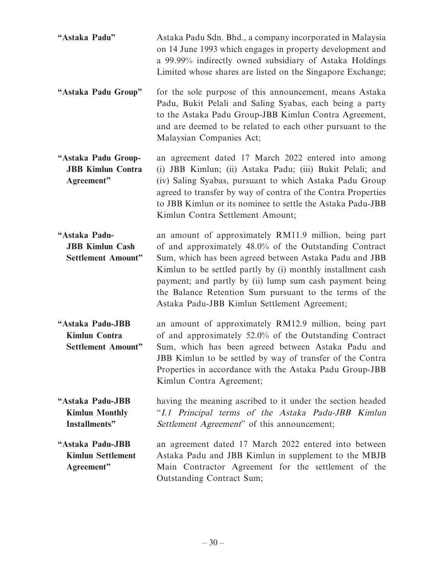| "Astaka Padu" | Astaka Padu Sdn. Bhd., a company incorporated in Malaysia  |
|---------------|------------------------------------------------------------|
|               | on 14 June 1993 which engages in property development and  |
|               | a 99.99% indirectly owned subsidiary of Astaka Holdings    |
|               | Limited whose shares are listed on the Singapore Exchange; |

- **"Astaka Padu Group"** for the sole purpose of this announcement, means Astaka Padu, Bukit Pelali and Saling Syabas, each being a party to the Astaka Padu Group-JBB Kimlun Contra Agreement, and are deemed to be related to each other pursuant to the Malaysian Companies Act;
- **"Astaka Padu Group-JBB Kimlun Contra Agreement"** an agreement dated 17 March 2022 entered into among (i) JBB Kimlun; (ii) Astaka Padu; (iii) Bukit Pelali; and (iv) Saling Syabas, pursuant to which Astaka Padu Group agreed to transfer by way of contra of the Contra Properties to JBB Kimlun or its nominee to settle the Astaka Padu-JBB Kimlun Contra Settlement Amount;

**"Astaka Padu-JBB Kimlun Cash Settlement Amount"** an amount of approximately RM11.9 million, being part of and approximately 48.0% of the Outstanding Contract Sum, which has been agreed between Astaka Padu and JBB Kimlun to be settled partly by (i) monthly installment cash payment; and partly by (ii) lump sum cash payment being the Balance Retention Sum pursuant to the terms of the Astaka Padu-JBB Kimlun Settlement Agreement;

**"Astaka Padu-JBB Kimlun Contra Settlement Amount"** an amount of approximately RM12.9 million, being part of and approximately 52.0% of the Outstanding Contract Sum, which has been agreed between Astaka Padu and JBB Kimlun to be settled by way of transfer of the Contra Properties in accordance with the Astaka Padu Group-JBB Kimlun Contra Agreement;

**"Astaka Padu-JBB Kimlun Monthly Installments"** having the meaning ascribed to it under the section headed "I.1 Principal terms of the Astaka Padu-JBB Kimlun Settlement Agreement" of this announcement;

**"Astaka Padu-JBB Kimlun Settlement Agreement"** an agreement dated 17 March 2022 entered into between Astaka Padu and JBB Kimlun in supplement to the MBJB Main Contractor Agreement for the settlement of the Outstanding Contract Sum;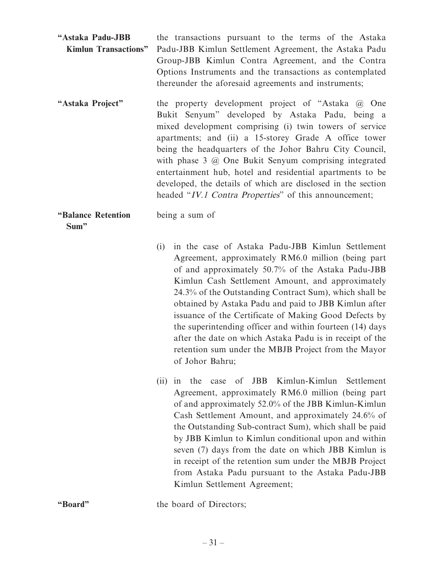| "Astaka Padu-JBB | the transactions pursuant to the terms of the Astaka                       |
|------------------|----------------------------------------------------------------------------|
|                  | Kimlun Transactions" Padu-JBB Kimlun Settlement Agreement, the Astaka Padu |
|                  | Group-JBB Kimlun Contra Agreement, and the Contra                          |
|                  | Options Instruments and the transactions as contemplated                   |
|                  | thereunder the aforesaid agreements and instruments;                       |

**"Astaka Project"** the property development project of "Astaka @ One Bukit Senyum" developed by Astaka Padu, being a mixed development comprising (i) twin towers of service apartments; and (ii) a 15-storey Grade A office tower being the headquarters of the Johor Bahru City Council, with phase 3 @ One Bukit Senyum comprising integrated entertainment hub, hotel and residential apartments to be developed, the details of which are disclosed in the section headed "IV.1 Contra Properties" of this announcement;

being a sum of

**"Balance Retention Sum"**

> (i) in the case of Astaka Padu-JBB Kimlun Settlement Agreement, approximately RM6.0 million (being part of and approximately 50.7% of the Astaka Padu-JBB Kimlun Cash Settlement Amount, and approximately 24.3% of the Outstanding Contract Sum), which shall be obtained by Astaka Padu and paid to JBB Kimlun after issuance of the Certificate of Making Good Defects by the superintending officer and within fourteen (14) days after the date on which Astaka Padu is in receipt of the retention sum under the MBJB Project from the Mayor of Johor Bahru;

(ii) in the case of JBB Kimlun-Kimlun Settlement Agreement, approximately RM6.0 million (being part of and approximately 52.0% of the JBB Kimlun-Kimlun Cash Settlement Amount, and approximately 24.6% of the Outstanding Sub-contract Sum), which shall be paid by JBB Kimlun to Kimlun conditional upon and within seven (7) days from the date on which JBB Kimlun is in receipt of the retention sum under the MBJB Project from Astaka Padu pursuant to the Astaka Padu-JBB Kimlun Settlement Agreement;

**"Board"** the board of Directors;

 $-31-$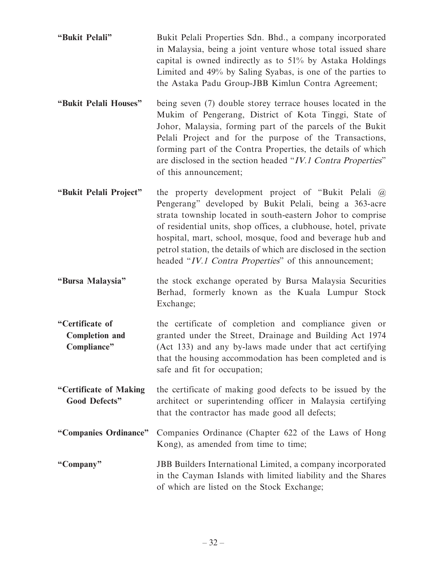- **"Bukit Pelali"** Bukit Pelali Properties Sdn. Bhd., a company incorporated in Malaysia, being a joint venture whose total issued share capital is owned indirectly as to 51% by Astaka Holdings Limited and 49% by Saling Syabas, is one of the parties to the Astaka Padu Group-JBB Kimlun Contra Agreement;
- **"Bukit Pelali Houses"** being seven (7) double storey terrace houses located in the Mukim of Pengerang, District of Kota Tinggi, State of Johor, Malaysia, forming part of the parcels of the Bukit Pelali Project and for the purpose of the Transactions, forming part of the Contra Properties, the details of which are disclosed in the section headed "IV.1 Contra Properties" of this announcement;
- **"Bukit Pelali Project"** the property development project of "Bukit Pelali @ Pengerang" developed by Bukit Pelali, being a 363-acre strata township located in south-eastern Johor to comprise of residential units, shop offices, a clubhouse, hotel, private hospital, mart, school, mosque, food and beverage hub and petrol station, the details of which are disclosed in the section headed "IV.1 Contra Properties" of this announcement;
- **"Bursa Malaysia"** the stock exchange operated by Bursa Malaysia Securities Berhad, formerly known as the Kuala Lumpur Stock Exchange;
- **"Certificate of Completion and Compliance"** the certificate of completion and compliance given or granted under the Street, Drainage and Building Act 1974 (Act 133) and any by-laws made under that act certifying that the housing accommodation has been completed and is safe and fit for occupation;
- **"Certificate of Making Good Defects"** the certificate of making good defects to be issued by the architect or superintending officer in Malaysia certifying that the contractor has made good all defects;
- **"Companies Ordinance"** Companies Ordinance (Chapter 622 of the Laws of Hong Kong), as amended from time to time;
- **"Company"** JBB Builders International Limited, a company incorporated in the Cayman Islands with limited liability and the Shares of which are listed on the Stock Exchange;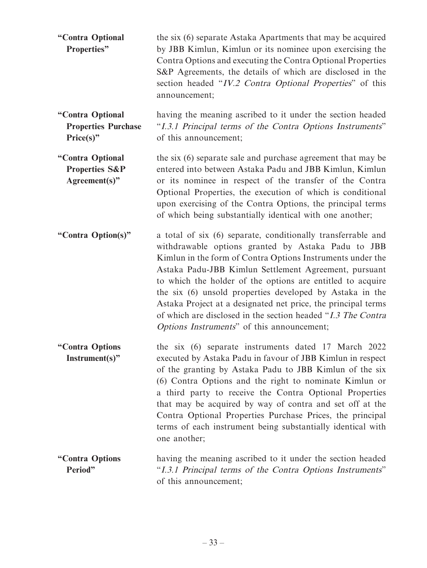| "Contra Optional<br>Properties"                                | the six (6) separate Astaka Apartments that may be acquired<br>by JBB Kimlun, Kimlun or its nominee upon exercising the<br>Contra Options and executing the Contra Optional Properties<br>S&P Agreements, the details of which are disclosed in the<br>section headed "IV.2 Contra Optional Properties" of this<br>announcement;                                                                                                                                                                                                                   |
|----------------------------------------------------------------|----------------------------------------------------------------------------------------------------------------------------------------------------------------------------------------------------------------------------------------------------------------------------------------------------------------------------------------------------------------------------------------------------------------------------------------------------------------------------------------------------------------------------------------------------|
| "Contra Optional<br><b>Properties Purchase</b><br>Price(s)"    | having the meaning ascribed to it under the section headed<br>"I.3.1 Principal terms of the Contra Options Instruments"<br>of this announcement;                                                                                                                                                                                                                                                                                                                                                                                                   |
| "Contra Optional<br><b>Properties S&amp;P</b><br>Agreement(s)" | the six (6) separate sale and purchase agreement that may be<br>entered into between Astaka Padu and JBB Kimlun, Kimlun<br>or its nominee in respect of the transfer of the Contra<br>Optional Properties, the execution of which is conditional<br>upon exercising of the Contra Options, the principal terms<br>of which being substantially identical with one another;                                                                                                                                                                         |
| "Contra Option(s)"                                             | a total of six (6) separate, conditionally transferrable and<br>withdrawable options granted by Astaka Padu to JBB<br>Kimlun in the form of Contra Options Instruments under the<br>Astaka Padu-JBB Kimlun Settlement Agreement, pursuant<br>to which the holder of the options are entitled to acquire<br>the six (6) unsold properties developed by Astaka in the<br>Astaka Project at a designated net price, the principal terms<br>of which are disclosed in the section headed "I.3 The Contra<br>Options Instruments" of this announcement; |
| "Contra Options<br>$Instrument(s)$ "                           | the six (6) separate instruments dated 17 March 2022<br>executed by Astaka Padu in favour of JBB Kimlun in respect<br>of the granting by Astaka Padu to JBB Kimlun of the six<br>(6) Contra Options and the right to nominate Kimlun or<br>a third party to receive the Contra Optional Properties<br>that may be acquired by way of contra and set off at the<br>Contra Optional Properties Purchase Prices, the principal<br>terms of each instrument being substantially identical with<br>one another;                                         |
| "Contra Options<br>Period"                                     | having the meaning ascribed to it under the section headed<br>"I.3.1 Principal terms of the Contra Options Instruments"<br>of this announcement;                                                                                                                                                                                                                                                                                                                                                                                                   |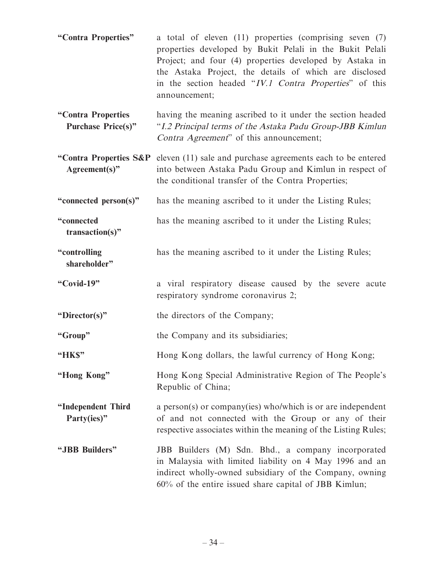- **"Contra Properties"** a total of eleven (11) properties (comprising seven (7) properties developed by Bukit Pelali in the Bukit Pelali Project; and four (4) properties developed by Astaka in the Astaka Project, the details of which are disclosed in the section headed "IV.1 Contra Properties" of this announcement;
- **"Contra Properties Purchase Price(s)"** having the meaning ascribed to it under the section headed "I.2 Principal terms of the Astaka Padu Group-JBB Kimlun Contra Agreement" of this announcement;
- **"Contra Properties S&P**  eleven (11) sale and purchase agreements each to be entered **Agreement(s)"** into between Astaka Padu Group and Kimlun in respect of the conditional transfer of the Contra Properties;
- **"connected person(s)"** has the meaning ascribed to it under the Listing Rules;

**"connected transaction(s)"** has the meaning ascribed to it under the Listing Rules;

- **"controlling**  has the meaning ascribed to it under the Listing Rules;
- **"Covid-19"** a viral respiratory disease caused by the severe acute respiratory syndrome coronavirus 2;

**"Director(s)"** the directors of the Company;

**shareholder"**

**"Group"** the Company and its subsidiaries;

- **"HK\$"** Hong Kong dollars, the lawful currency of Hong Kong;
- **"Hong Kong"** Hong Kong Special Administrative Region of The People's Republic of China;

**"Independent Third Party(ies)"** a person(s) or company(ies) who/which is or are independent of and not connected with the Group or any of their respective associates within the meaning of the Listing Rules;

**"JBB Builders"** JBB Builders (M) Sdn. Bhd., a company incorporated in Malaysia with limited liability on 4 May 1996 and an indirect wholly-owned subsidiary of the Company, owning 60% of the entire issued share capital of JBB Kimlun;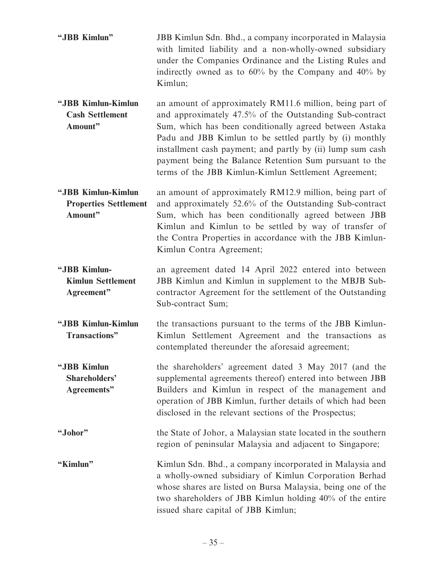- **"JBB Kimlun"** JBB Kimlun Sdn. Bhd., a company incorporated in Malaysia with limited liability and a non-wholly-owned subsidiary under the Companies Ordinance and the Listing Rules and indirectly owned as to 60% by the Company and 40% by Kimlun;
- **"JBB Kimlun-Kimlun Cash Settlement Amount"** an amount of approximately RM11.6 million, being part of and approximately 47.5% of the Outstanding Sub-contract Sum, which has been conditionally agreed between Astaka Padu and JBB Kimlun to be settled partly by (i) monthly installment cash payment; and partly by (ii) lump sum cash payment being the Balance Retention Sum pursuant to the terms of the JBB Kimlun-Kimlun Settlement Agreement;
- **"JBB Kimlun-Kimlun Properties Settlement Amount"** an amount of approximately RM12.9 million, being part of and approximately 52.6% of the Outstanding Sub-contract Sum, which has been conditionally agreed between JBB Kimlun and Kimlun to be settled by way of transfer of the Contra Properties in accordance with the JBB Kimlun-Kimlun Contra Agreement;
- **"JBB Kimlun-Kimlun Settlement Agreement"** an agreement dated 14 April 2022 entered into between JBB Kimlun and Kimlun in supplement to the MBJB Subcontractor Agreement for the settlement of the Outstanding Sub-contract Sum;
- **"JBB Kimlun-Kimlun Transactions"** the transactions pursuant to the terms of the JBB Kimlun-Kimlun Settlement Agreement and the transactions as contemplated thereunder the aforesaid agreement;
- **"JBB Kimlun Shareholders' Agreements"** the shareholders' agreement dated 3 May 2017 (and the supplemental agreements thereof) entered into between JBB Builders and Kimlun in respect of the management and operation of JBB Kimlun, further details of which had been disclosed in the relevant sections of the Prospectus;
- **"Johor"** the State of Johor, a Malaysian state located in the southern region of peninsular Malaysia and adjacent to Singapore;
- **"Kimlun"** Kimlun Sdn. Bhd., a company incorporated in Malaysia and a wholly-owned subsidiary of Kimlun Corporation Berhad whose shares are listed on Bursa Malaysia, being one of the two shareholders of JBB Kimlun holding 40% of the entire issued share capital of JBB Kimlun;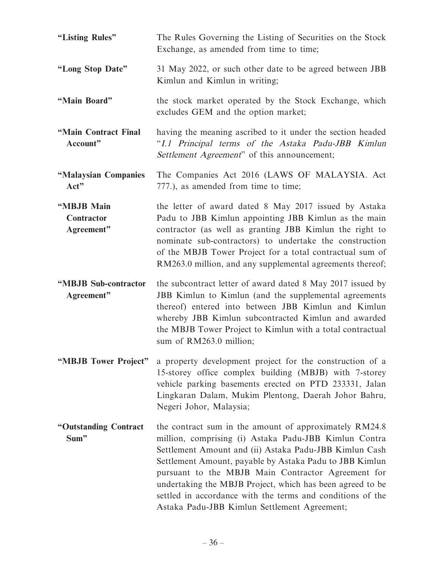| "Listing Rules"                        | The Rules Governing the Listing of Securities on the Stock<br>Exchange, as amended from time to time;                                                                                                                                                                                                                                                                                                                                                                 |
|----------------------------------------|-----------------------------------------------------------------------------------------------------------------------------------------------------------------------------------------------------------------------------------------------------------------------------------------------------------------------------------------------------------------------------------------------------------------------------------------------------------------------|
| "Long Stop Date"                       | 31 May 2022, or such other date to be agreed between JBB<br>Kimlun and Kimlun in writing;                                                                                                                                                                                                                                                                                                                                                                             |
| "Main Board"                           | the stock market operated by the Stock Exchange, which<br>excludes GEM and the option market;                                                                                                                                                                                                                                                                                                                                                                         |
| "Main Contract Final<br>Account"       | having the meaning ascribed to it under the section headed<br>"I.1 Principal terms of the Astaka Padu-JBB Kimlun<br>Settlement Agreement" of this announcement;                                                                                                                                                                                                                                                                                                       |
| "Malaysian Companies<br>Act"           | The Companies Act 2016 (LAWS OF MALAYSIA. Act<br>777.), as amended from time to time;                                                                                                                                                                                                                                                                                                                                                                                 |
| "MBJB Main<br>Contractor<br>Agreement" | the letter of award dated 8 May 2017 issued by Astaka<br>Padu to JBB Kimlun appointing JBB Kimlun as the main<br>contractor (as well as granting JBB Kimlun the right to<br>nominate sub-contractors) to undertake the construction<br>of the MBJB Tower Project for a total contractual sum of<br>RM263.0 million, and any supplemental agreements thereof;                                                                                                          |
| "MBJB Sub-contractor<br>Agreement"     | the subcontract letter of award dated 8 May 2017 issued by<br>JBB Kimlun to Kimlun (and the supplemental agreements<br>thereof) entered into between JBB Kimlun and Kimlun<br>whereby JBB Kimlun subcontracted Kimlun and awarded<br>the MBJB Tower Project to Kimlun with a total contractual<br>sum of RM263.0 million;                                                                                                                                             |
| "MBJB Tower Project"                   | a property development project for the construction of a<br>15-storey office complex building (MBJB) with 7-storey<br>vehicle parking basements erected on PTD 233331, Jalan<br>Lingkaran Dalam, Mukim Plentong, Daerah Johor Bahru,<br>Negeri Johor, Malaysia;                                                                                                                                                                                                       |
| "Outstanding Contract<br>Sum"          | the contract sum in the amount of approximately RM24.8<br>million, comprising (i) Astaka Padu-JBB Kimlun Contra<br>Settlement Amount and (ii) Astaka Padu-JBB Kimlun Cash<br>Settlement Amount, payable by Astaka Padu to JBB Kimlun<br>pursuant to the MBJB Main Contractor Agreement for<br>undertaking the MBJB Project, which has been agreed to be<br>settled in accordance with the terms and conditions of the<br>Astaka Padu-JBB Kimlun Settlement Agreement; |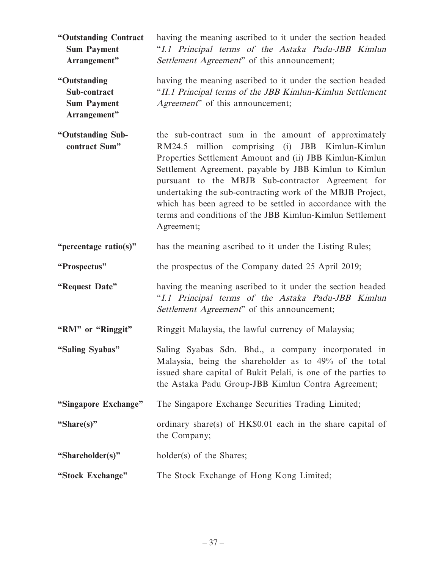**"Outstanding Contract Sum Payment Arrangement"** having the meaning ascribed to it under the section headed "I.1 Principal terms of the Astaka Padu-JBB Kimlun Settlement Agreement" of this announcement; **"Outstanding Sub-contract Sum Payment**  having the meaning ascribed to it under the section headed "II.1 Principal terms of the JBB Kimlun-Kimlun Settlement Agreement" of this announcement;

**"Outstanding Subcontract Sum"** the sub-contract sum in the amount of approximately RM24.5 million comprising (i) JBB Kimlun-Kimlun Properties Settlement Amount and (ii) JBB Kimlun-Kimlun Settlement Agreement, payable by JBB Kimlun to Kimlun pursuant to the MBJB Sub-contractor Agreement for undertaking the sub-contracting work of the MBJB Project, which has been agreed to be settled in accordance with the terms and conditions of the JBB Kimlun-Kimlun Settlement Agreement;

**"percentage ratio(s)"** has the meaning ascribed to it under the Listing Rules;

**"Prospectus"** the prospectus of the Company dated 25 April 2019;

**"Request Date"** having the meaning ascribed to it under the section headed "I.1 Principal terms of the Astaka Padu-JBB Kimlun Settlement Agreement" of this announcement;

**"RM" or "Ringgit"** Ringgit Malaysia, the lawful currency of Malaysia;

**"Saling Syabas"** Saling Syabas Sdn. Bhd., a company incorporated in Malaysia, being the shareholder as to 49% of the total issued share capital of Bukit Pelali, is one of the parties to the Astaka Padu Group-JBB Kimlun Contra Agreement;

**"Singapore Exchange"** The Singapore Exchange Securities Trading Limited;

**"Share(s)"** ordinary share(s) of HK\$0.01 each in the share capital of the Company;

**"Shareholder(s)"** holder(s) of the Shares;

**Arrangement"**

**"Stock Exchange"** The Stock Exchange of Hong Kong Limited;